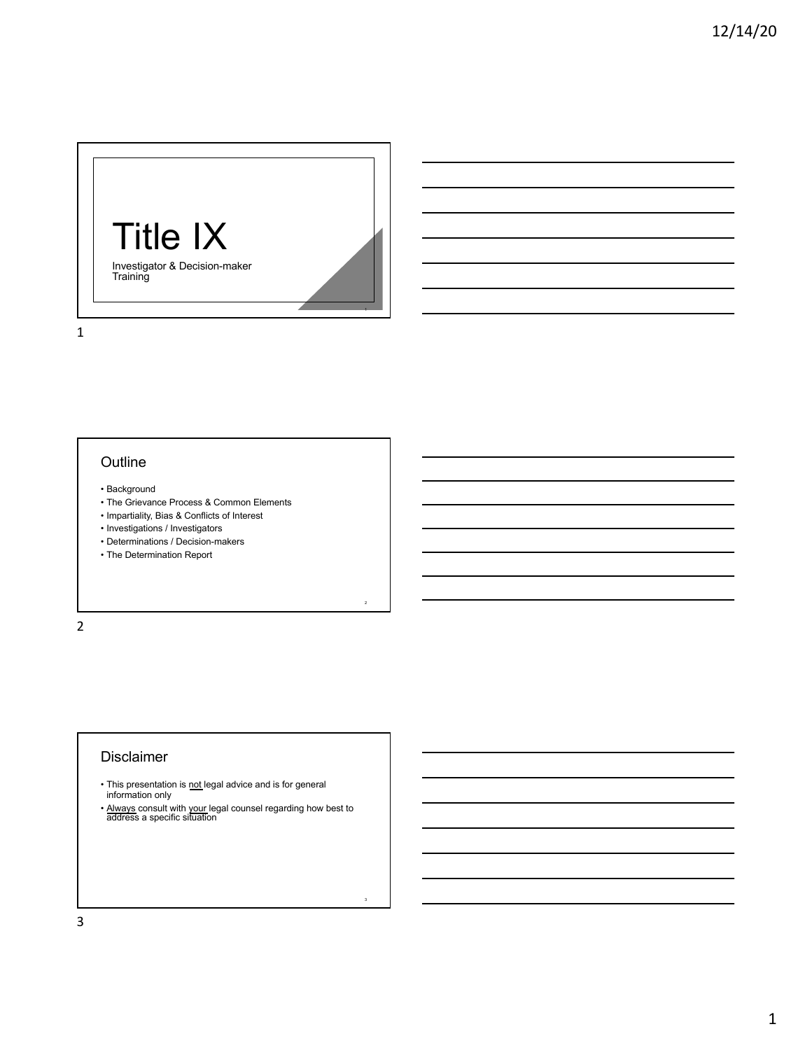

## 1

#### **Outline**

- Background
- The Grievance Process & Common Elements
- Impartiality, Bias & Conflicts of Interest
- Investigations / Investigators
- Determinations / Decision-makers
- The Determination Report

2

## Disclaimer

- This presentation is not legal advice and is for general information only
- Always consult with your legal counsel regarding how best to address a specific situation

2

3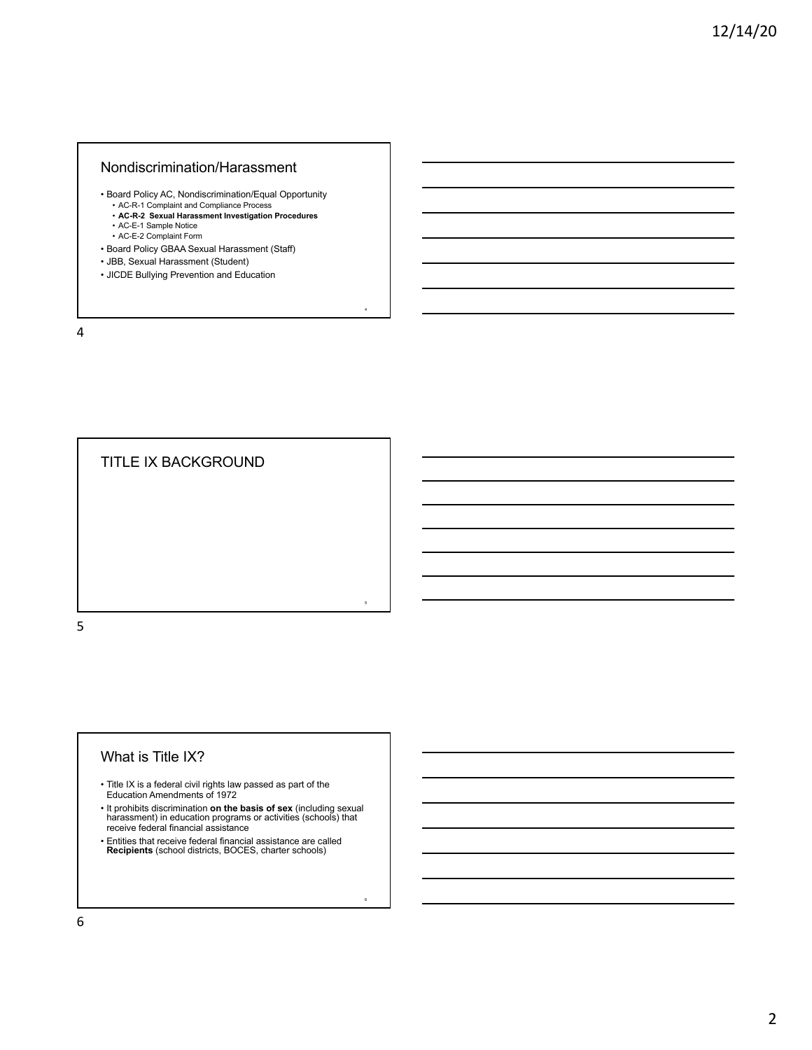#### Nondiscrimination/Harassment

• Board Policy AC, Nondiscrimination/Equal Opportunity

4

6

- AC-R-1 Complaint and Compliance Process
- **AC-R-2 Sexual Harassment Investigation Procedures**
- AC-E-1 Sample Notice AC-E-2 Complaint Form
- Board Policy GBAA Sexual Harassment (Staff)
- JBB, Sexual Harassment (Student)
- JICDE Bullying Prevention and Education

4



#### What is Title IX?

- Title IX is a federal civil rights law passed as part of the Education Amendments of 1972
- It prohibits discrimination **on the basis of sex** (including sexual harassment) in education programs or activities (schools) that receive federal financial assistance
- Entities that receive federal financial assistance are called **Recipients** (school districts, BOCES, charter schools)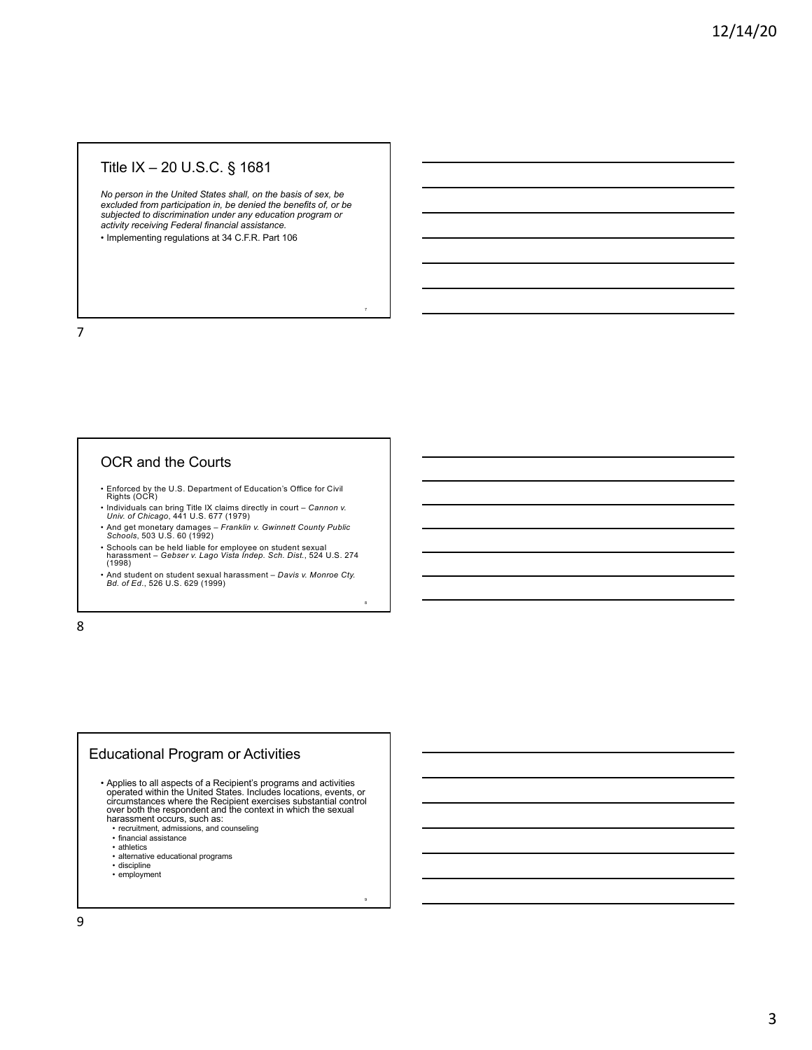# Title IX – 20 U.S.C. § 1681

*No person in the United States shall, on the basis of sex, be excluded from participation in, be denied the benefits of, or be subjected to discrimination under any education program or activity receiving Federal financial assistance.*

7

8

9

• Implementing regulations at 34 C.F.R. Part 106

7

### OCR and the Courts

- Enforced by the U.S. Department of Education's Office for Civil Rights (OCR)
- Individuals can bring Title IX claims directly in court *Cannon v. Univ. of Chicago*, 441 U.S. 677 (1979)
- And get monetary damages *Franklin v. Gwinnett County Public Schools*, 503 U.S. 60 (1992)
- Schools can be held liable for employee on student sexual harassment *Gebser v. Lago Vista Indep. Sch. Dist.*, 524 U.S. 274 (1998)
- And student on student sexual harassment *Davis v. Monroe Cty. Bd. of Ed*., 526 U.S. 629 (1999)

8

## Educational Program or Activities

• Applies to all aspects of a Recipient's programs and activities<br>operated within the United States. Includes locations, events, or<br>circumstances where the Recipient exercises substantial control<br>over both the espondent an harassment occurs, such as:

- recruitment, admissions, and counseling
- financial assistance
- athletics
- alternative educational programs
- discipline
- employment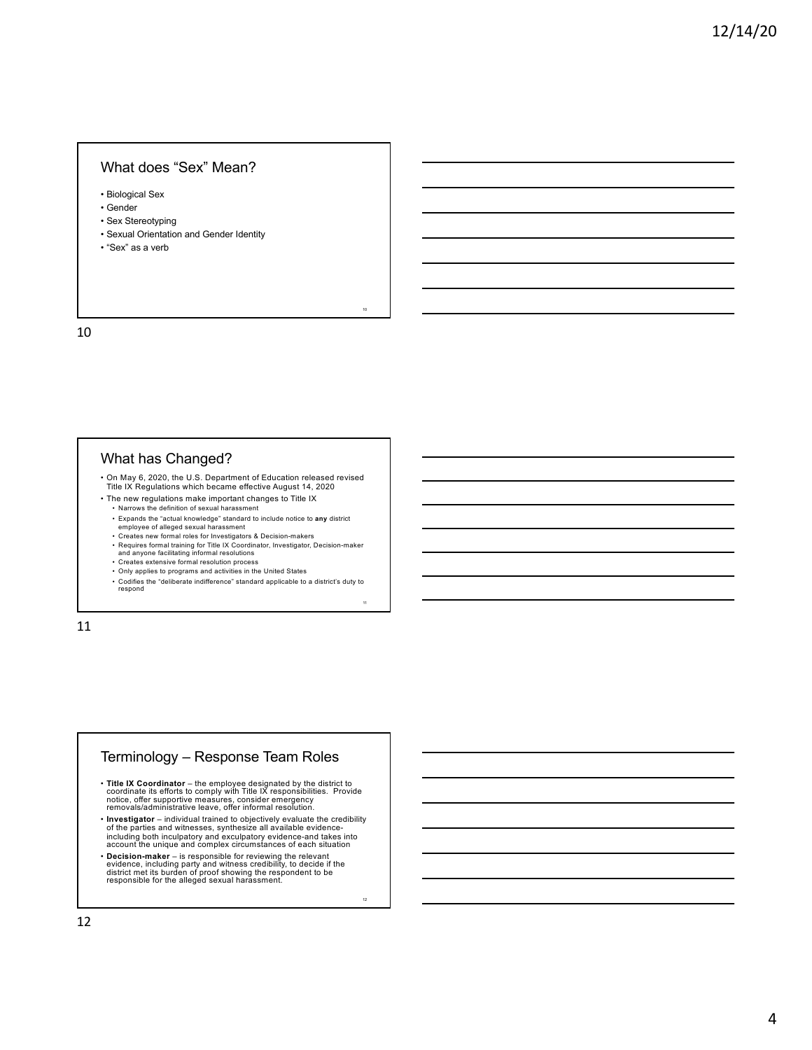#### What does "Sex" Mean?

• Biological Sex

- Gender
- Sex Stereotyping
- Sexual Orientation and Gender Identity
- "Sex" as a verb

10

## What has Changed?

• On May 6, 2020, the U.S. Department of Education released revised

10

11

<sub>12</sub>

- Title IX Regulations which became effective August 14, 2020 • The new regulations make important changes to Title IX
	- Narrows the definition of sexual harassment
	- Expands the "actual knowledge" standard to include notice to **any** district
	- employee of alleged sexual harassment Creates new formal roles for Investigators & Decision-makers
	- Requires formal training for Title IX Coordinator, Investigator, Decision-maker and anyone facilitating informal resolutions
	- Creates extensive formal resolution process Only applies to programs and activities in the United States
	- Codifies the "deliberate indifference" standard applicable to a district's duty to respond

11

## Terminology – Response Team Roles

- Title IX Coordinator the employee designated by the district to coordinate its efforts to comply with Title IX responsibilities. Provide notice, offer supportive measures, consider emergency<br>removals/administrative mea
- **Investigator** individual trained to objectively evaluate the credibility of the parties and witnesses, synthesize all available evidence-including both inculpatory and exculpatory evidence-and takes into account the unique and complex circumstances of each situation
- Decision-maker is responsible for reviewing the relevant<br>evidence, including party and witness credibility, to decide if the<br>district met its burden of proof showing the respondent to be<br>responsible for the alleged sex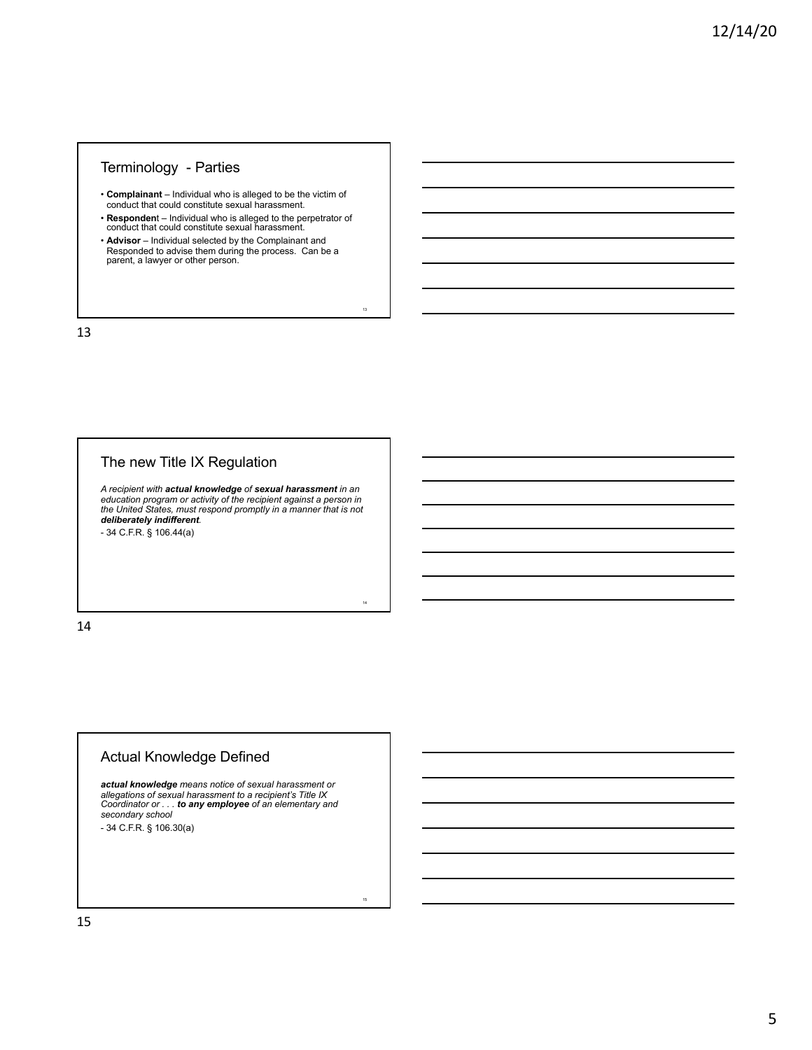## Terminology - Parties

- **Complainant**  Individual who is alleged to be the victim of conduct that could constitute sexual harassment.
- **Responden**t Individual who is alleged to the perpetrator of conduct that could constitute sexual harassment.
- **Advisor** Individual selected by the Complainant and<br>Responded to advise them during the process. Can be a<br>parent, a lawyer or other person.

13

14

15

13

# The new Title IX Regulation

*A recipient with actual knowledge of sexual harassment in an education program or activity of the recipient against a person in the United States, must respond promptly in a manner that is not deliberately indifferent.* 

- 34 C.F.R. § 106.44(a)

14

# Actual Knowledge Defined

*actual knowledge means notice of sexual harassment or allegations of sexual harassment to a recipient's Title IX Coordinator or . . . to any employee of an elementary and secondary school*  - 34 C.F.R. § 106.30(a)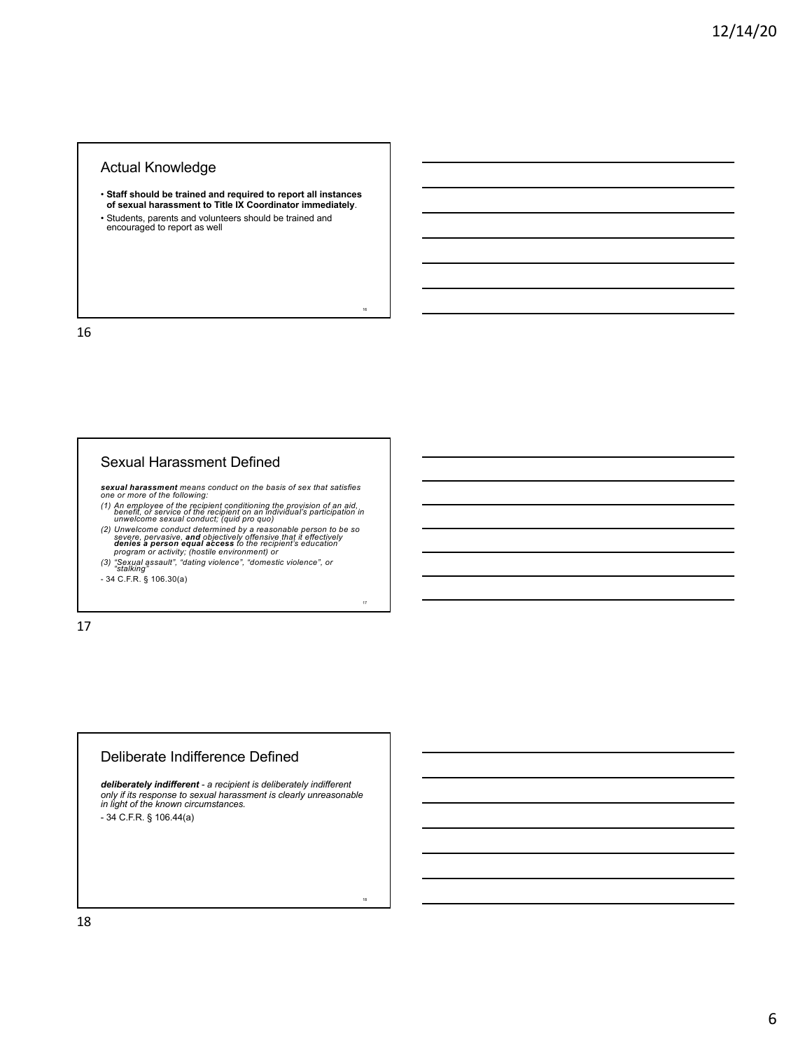## Actual Knowledge

• **Staff should be trained and required to report all instances of sexual harassment to Title IX Coordinator immediately**. • Students, parents and volunteers should be trained and encouraged to report as well

16

17

18

16

## Sexual Harassment Defined

**sexual harassment** means conduct on the basis of sex that satisfies<br>one or more of the following:<br>(1) An employee of the recipient conditioning the provision of an aid,<br>benefit, or service of the recipient on an individua

17

## Deliberate Indifference Defined

*deliberately indifferent - a recipient is deliberately indifferent only if its response to sexual harassment is clearly unreasonable in light of the known circumstances.*  - 34 C.F.R. § 106.44(a)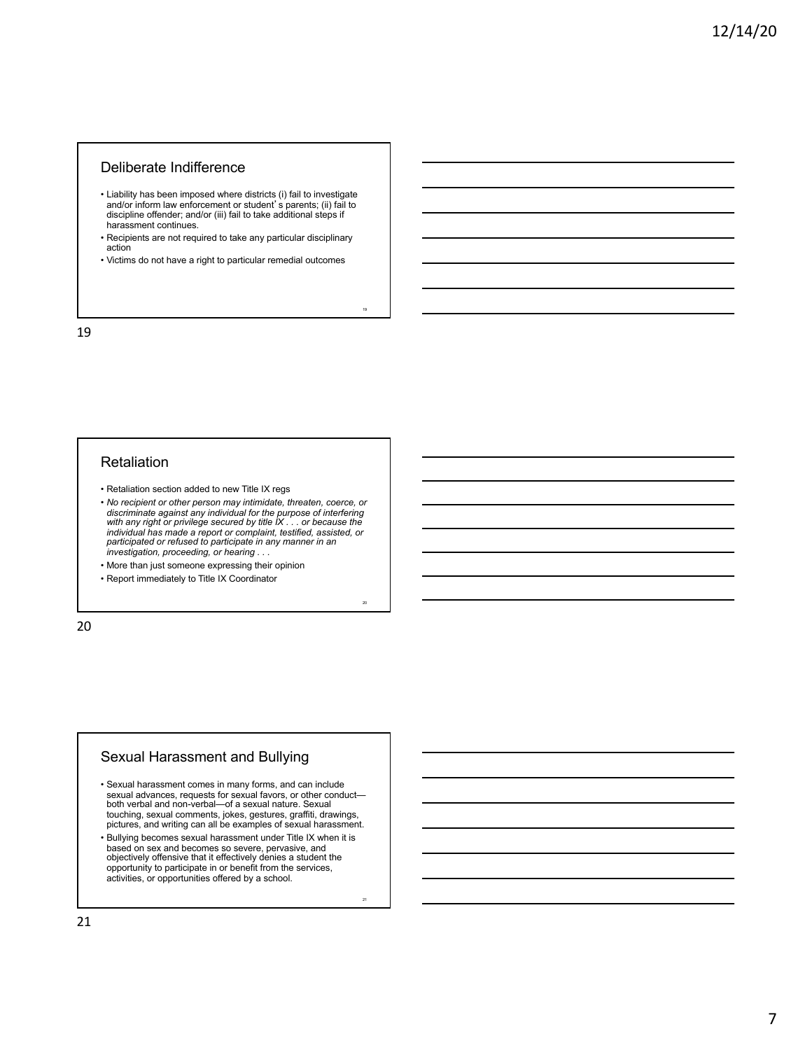### Deliberate Indifference

- Liability has been imposed where districts (i) fail to investigate and/or inform law enforcement or student' s parents; (ii) fail to<br>discipline offender; and/or (iii) fail to take additional steps if harassment continues.
- Recipients are not required to take any particular disciplinary action

• Victims do not have a right to particular remedial outcomes

19

20

21

19

#### **Retaliation**

- Retaliation section added to new Title IX regs
- *No recipient or other person may intimidate, threaten, coerce, or discriminate against any individual for the purpose of interfering with any right or privilege secured by title IX . . . or because the individual has made a report or complaint, testified, assisted, or participated or refused to participate in any manner in an investigation, proceeding, or hearing . . .*
- More than just someone expressing their opinion
- Report immediately to Title IX Coordinator

20

#### Sexual Harassment and Bullying

- Sexual harassment comes in many forms, and can include both verbal and non-verbal—of a sexual nature. Sexual touching, sexual comments, jokes, gestures, graffiti, drawings, pictures, and writing can all be examples of sexual harassment.
- Bullying becomes sexual harassment under Title IX when it is based on sex and becomes so severe, pervasive, and objectively offensive that it effectively denies a student the opportunity to participate in or benefit from the services, activities, or opportunities offered by a school.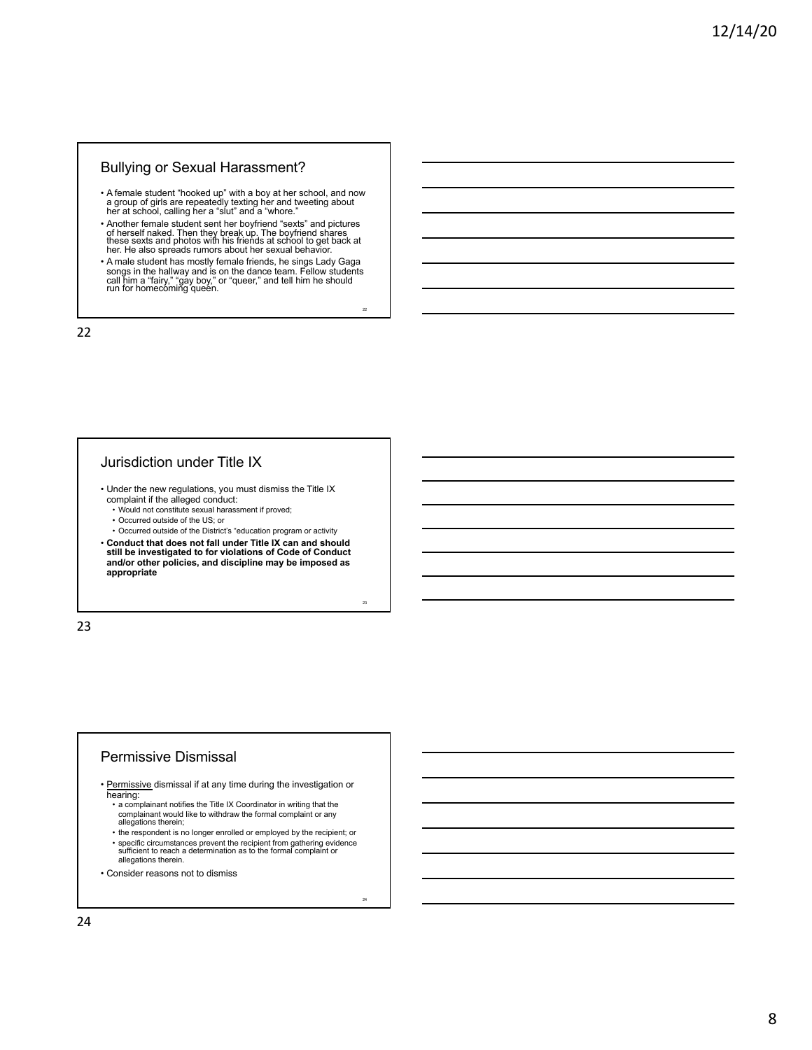### Bullying or Sexual Harassment?

- A female student "hooked up" with a boy at her school, and now a group of girls are repeatedly texting her and tweeting about her at school, calling her a "slut" and a "whore."
- Another female student sent her boyfriend "sexts" and pictures of herself naked. Then they break up. The boyfriend shares these sexts and photos with his friends at school to get back at her. He also spreads rumors about her sexual behavior.
- A male student has mostly female friends, he sings Lady Gaga songs in the hallway and is on the dance team. Fellow students call him a "fairy," "gay boy," or "queer," and tell him he should run for homecoming queen.

22

23

24

22

#### Jurisdiction under Title IX

- Under the new regulations, you must dismiss the Title IX complaint if the alleged conduct:
	- Would not constitute sexual harassment if proved;
	- Occurred outside of the US; or • Occurred outside of the District's "education program or activity
- **Conduct that does not fall under Title IX can and should still be investigated to for violations of Code of Conduct and/or other policies, and discipline may be imposed as appropriate**

23

#### Permissive Dismissal

- Permissive dismissal if at any time during the investigation or hearing:
	- a complainant notifies the Title IX Coordinator in writing that the complainant would like to withdraw the formal complaint or any allegations therein;
	- the respondent is no longer enrolled or employed by the recipient; or • specific circumstances prevent the recipient from gathering evidence sufficient to reach a determination as to the formal complaint or allegations therein.
- Consider reasons not to dismiss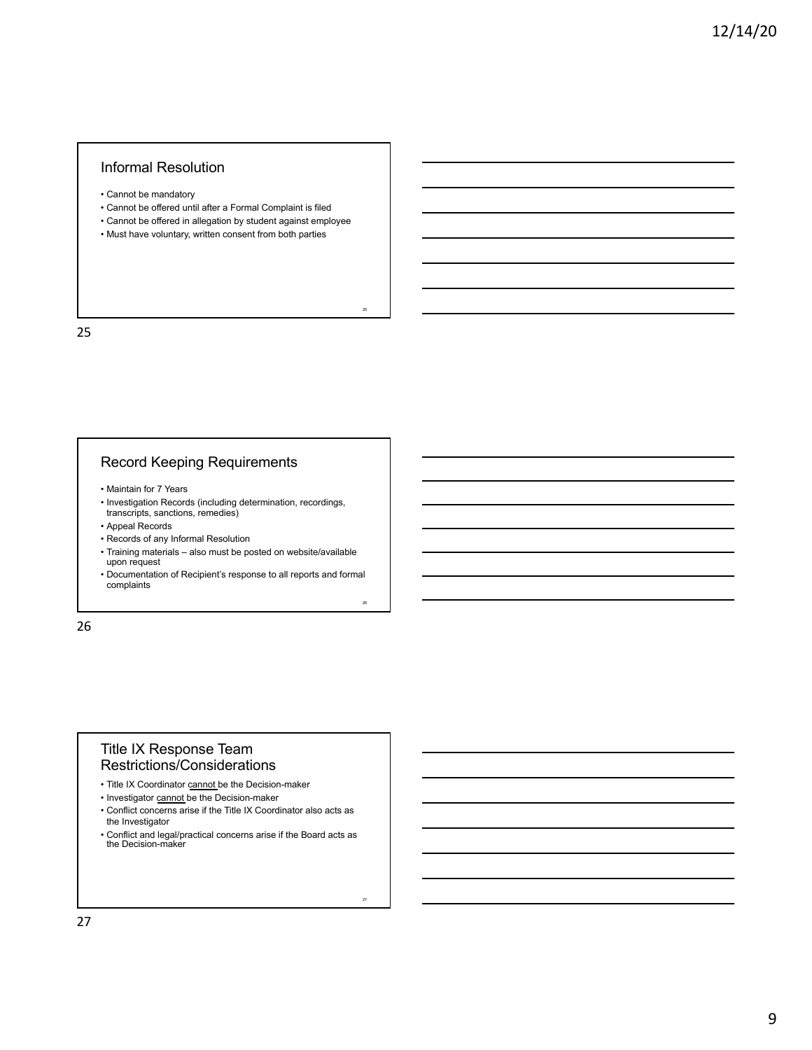## Informal Resolution

- Cannot be mandatory
- Cannot be offered until after a Formal Complaint is filed
- Cannot be offered in allegation by student against employee

25

26

27

• Must have voluntary, written consent from both parties

25

# Record Keeping Requirements

- Maintain for 7 Years
- Investigation Records (including determination, recordings, transcripts, sanctions, remedies)
- Appeal Records
- Records of any Informal Resolution
- Training materials also must be posted on website/available upon request
- Documentation of Recipient's response to all reports and formal complaints

26

#### Title IX Response Team Restrictions/Considerations

# • Title IX Coordinator cannot be the Decision-maker

- Investigator cannot be the Decision-maker
- Conflict concerns arise if the Title IX Coordinator also acts as the Investigator
- Conflict and legal/practical concerns arise if the Board acts as the Decision-maker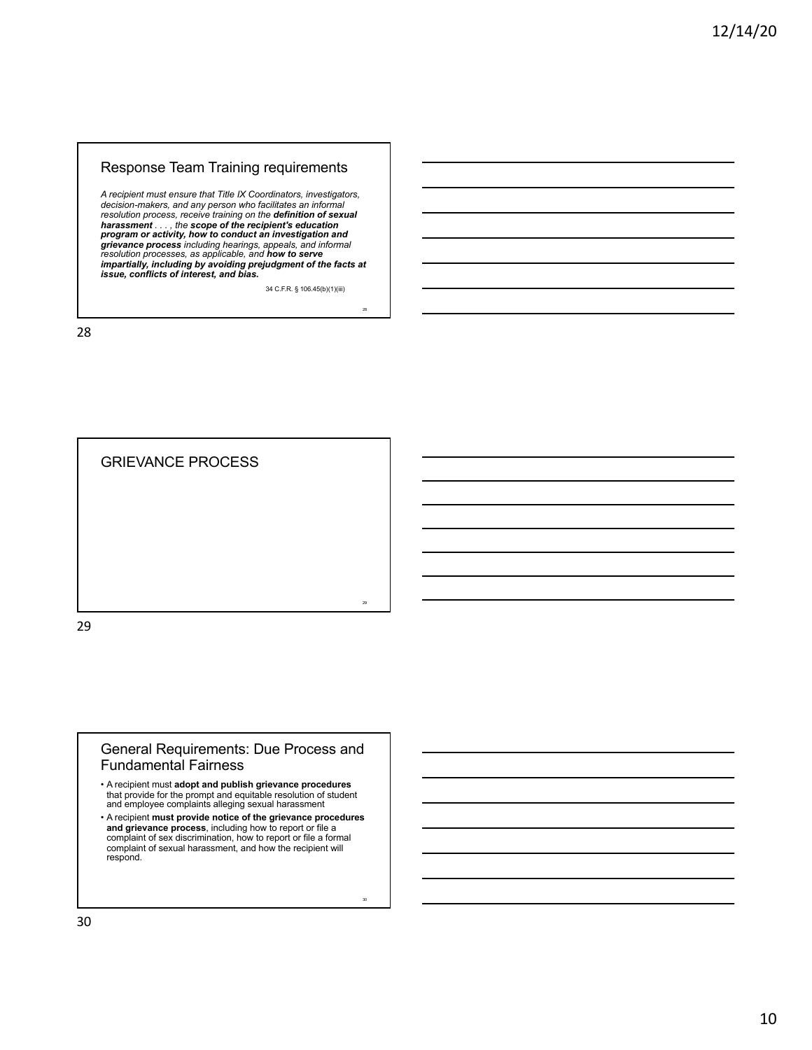# Response Team Training requirements

*A recipient must ensure that Title IX Coordinators, investigators,*  decision-makers, and any person who facilitates an informal<br>resolution process, receive training on the **definition of sexual**<br>**harassment** . . . , the **scope of the recipient's education**<br>**program or activity, how to cond** *grievance process including hearings, appeals, and informal resolution processes, as applicable, and how to serve impartially, including by avoiding prejudgment of the facts at issue, conflicts of interest, and bias.*

34 C.F.R. § 106.45(b)(1)(iii)

28

30

28

GRIEVANCE PROCESS 29 29

#### General Requirements: Due Process and Fundamental Fairness

- A recipient must **adopt and publish grievance procedures**  that provide for the prompt and equitable resolution of student and employee complaints alleging sexual harassment
- A recipient **must provide notice of the grievance procedures and grievance process**, including how to report or file a complaint of sex discrimination, how to report or file a formal complaint of sexual harassment, and how the recipient will respond.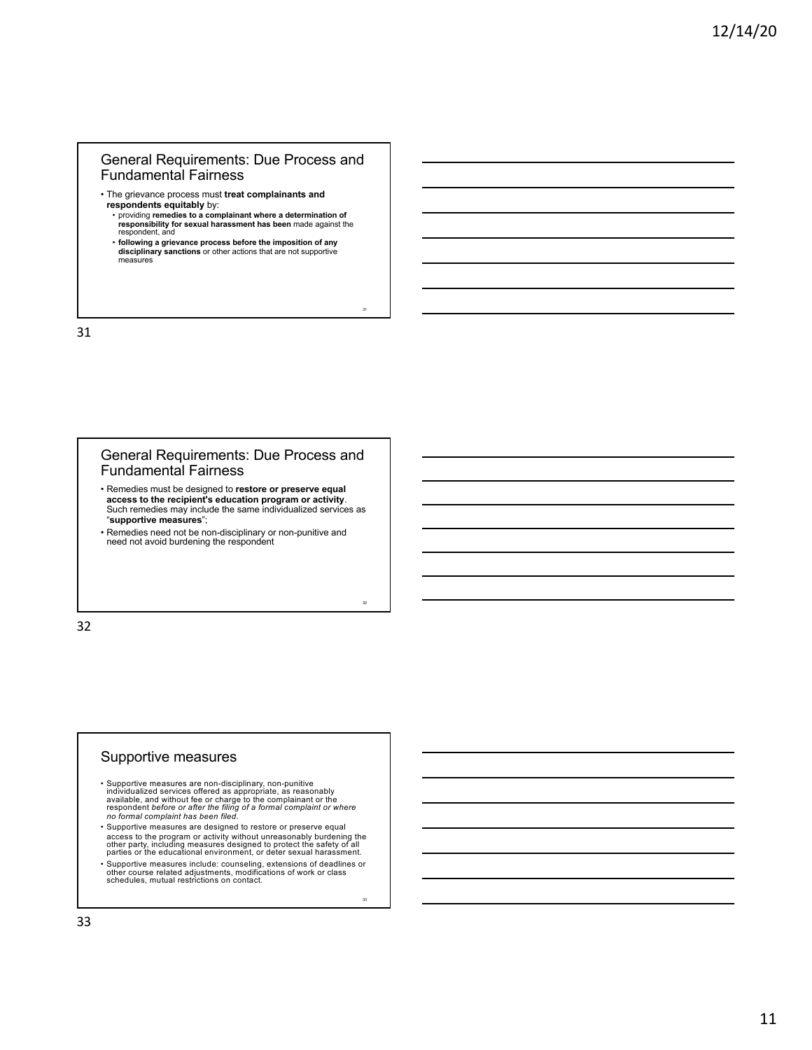- The grievance process must **treat complainants and** 
	- **respondents equitably** by:<br>• providing remedies to a complainant where a determination of<br>**responsibility for sexual harassment has been** made against the respondent, and

31

32

33

• **following a grievance process before the imposition of any disciplinary sanctions** or other actions that are not supportive measures

31

#### General Requirements: Due Process and Fundamental Fairness

- Remedies must be designed to **restore or preserve equal access to the recipient's education program or activity**. Such remedies may include the same individualized services as "**supportive measures**";
- Remedies need not be non-disciplinary or non-punitive and need not avoid burdening the respondent

32

#### Supportive measures

- Supportive measures are non-disciplinary, non-punitive<br>individualized services offered as appropriate, as reasonably<br>available, and without fee or charge to the complainant or the<br>respondent before or after the filing of
- Supportive measures are designed to restore or preserve equal access to the program or activity without unreasonably burdening the other party, including measures designed to protect the safety of all parties or the educational environment, or deter sexual harassment.
- Supportive measures include: counseling, extensions of deadlines or other course related adjustments, modifications of work or class schedules, mutual restrictions on contact.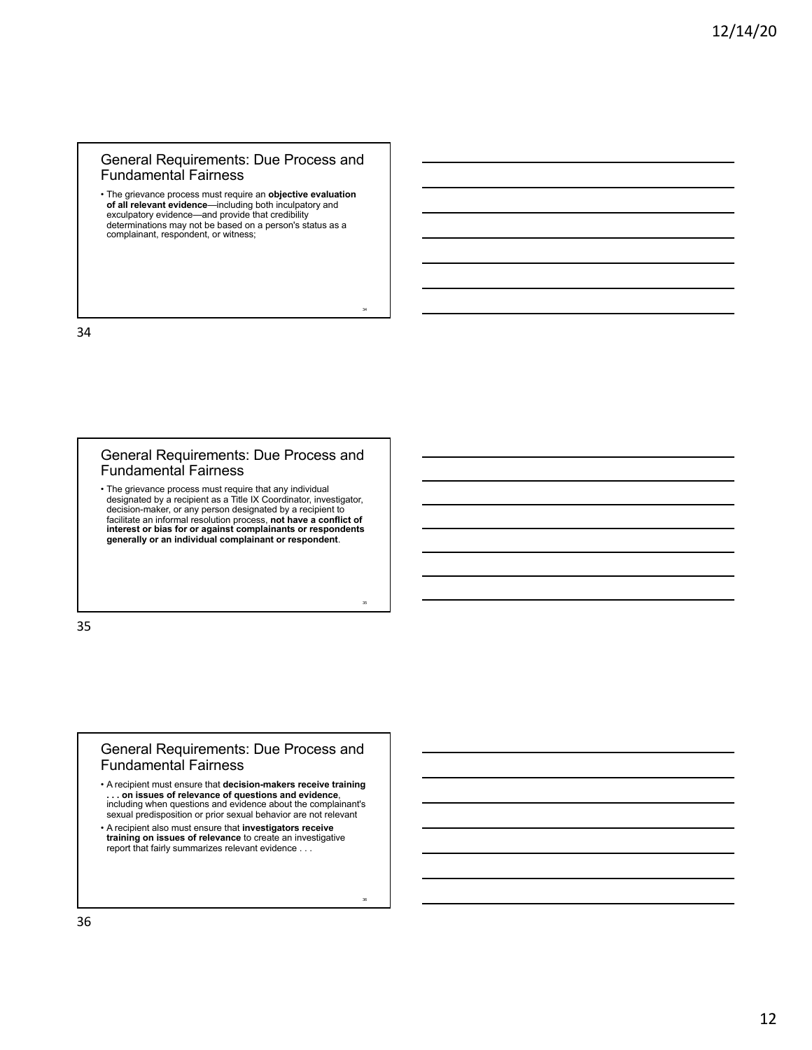• The grievance process must require an **objective evaluation of all relevant evidence**—including both inculpatory and exculpatory evidence—and provide that credibility determinations may not be based on a person's status as a complainant, respondent, or witness;

34

35

36

34

#### General Requirements: Due Process and Fundamental Fairness

• The grievance process must require that any individual designated by a recipient as a Title IX Coordinator, investigator,<br>decision-maker, or any person designated by a recipient to<br>facilitate an informal resolution process, **not have a conflict of<br>interest or bias for or again generally or an individual complainant or respondent**.

35

#### General Requirements: Due Process and Fundamental Fairness

• A recipient must ensure that **decision-makers receive training . . . on issues of relevance of questions and evidence**, including when questions and evidence about the complainant's sexual predisposition or prior sexual behavior are not relevant • A recipient also must ensure that **investigators receive** 

**training on issues of relevance** to create an investigative report that fairly summarizes relevant evidence . . .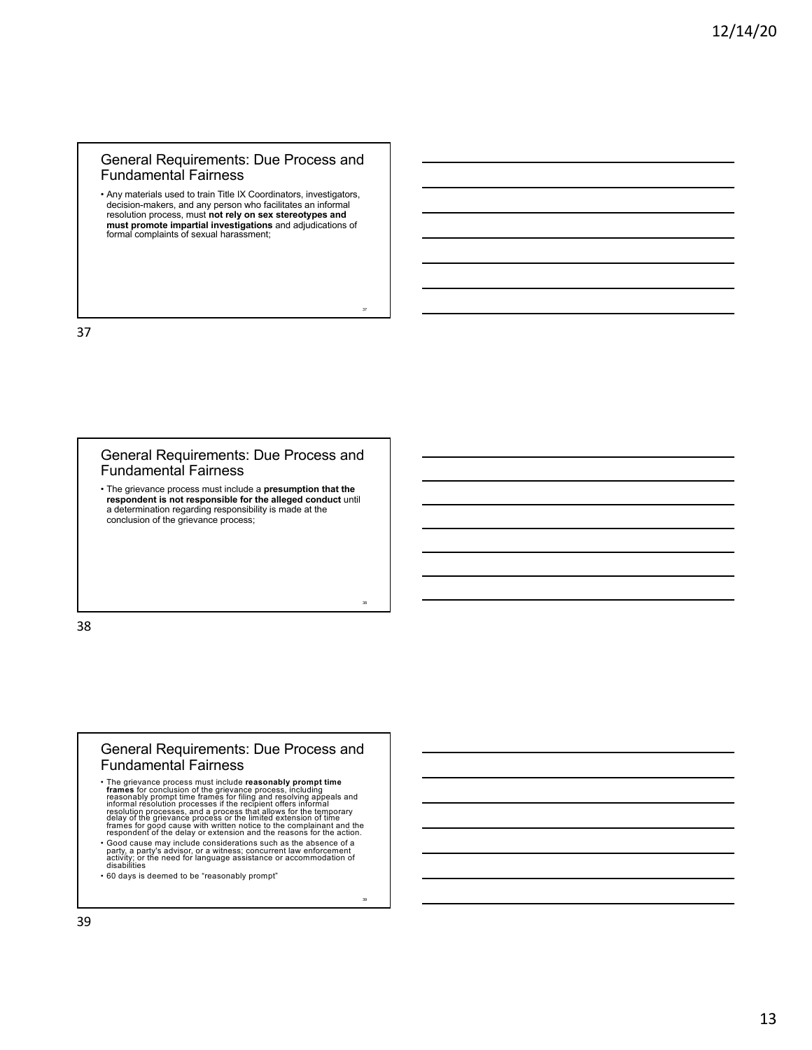• Any materials used to train Title IX Coordinators, investigators, decision-makers, and any person who facilitates an informal resolution process, must **not rely on sex stereotypes and must promote impartial investigations** and adjudications of formal complaints of sexual harassment;

37

38

39

37

#### General Requirements: Due Process and Fundamental Fairness

• The grievance process must include a **presumption that the respondent is not responsible for the alleged conduct** until a determination regarding responsibility is made at the conclusion of the grievance process;

38

#### General Requirements: Due Process and Fundamental Fairness

• The grievance process must include **reasonably prompt time**<br>**trames** for conclusion of the grievance process, including<br>reasonably prompt time frames for fliing and resolving appeals and<br>informal resolution processes if • Good cause may include considerations such as the absence of a party, a party's advisor, or a witness; concurrent law enforcement activity; or the need for language assistance or accommodation of disabilities

• 60 days is deemed to be "reasonably prompt"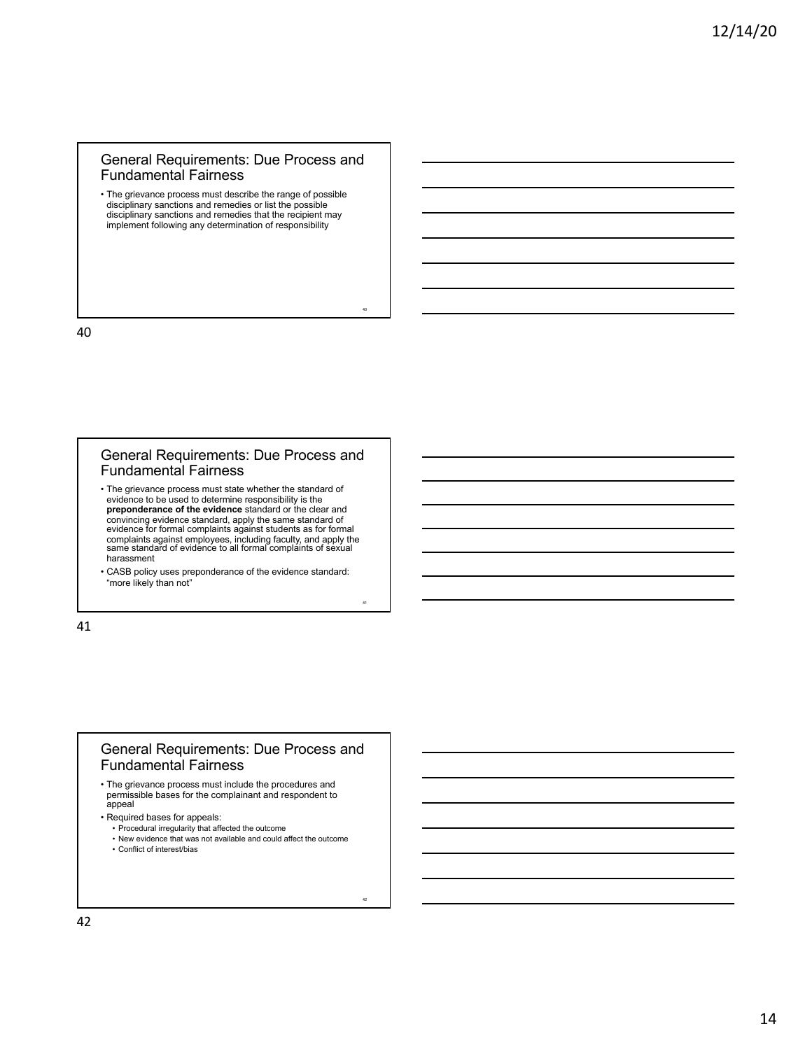• The grievance process must describe the range of possible disciplinary sanctions and remedies or list the possible disciplinary sanctions and remedies that the recipient may implement following any determination of responsibility

40

41

42

40

#### General Requirements: Due Process and Fundamental Fairness

• The grievance process must state whether the standard of evidence to be used to determine responsibility is the **preponderance of the evidence** standard or the clear and convincing evidence standard, apply the same standard of evidence for formal complaints against students as for formal complaints against employees, including faculty, and apply the same standard of evidence to all formal complaints of sexual harassment

• CASB policy uses preponderance of the evidence standard: "more likely than not"

41

## General Requirements: Due Process and Fundamental Fairness

- The grievance process must include the procedures and permissible bases for the complainant and respondent to appeal
- Required bases for appeals:
	- Procedural irregularity that affected the outcome
	- New evidence that was not available and could affect the outcome
	- Conflict of interest/bias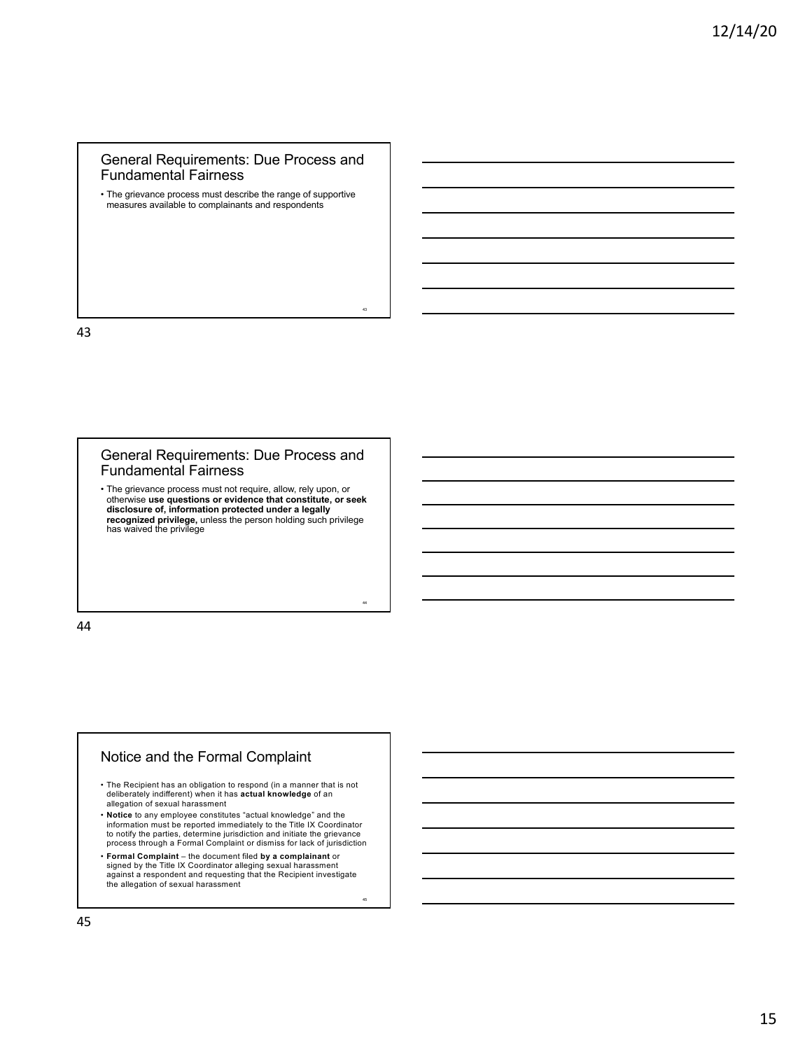• The grievance process must describe the range of supportive measures available to complainants and respondents

43

44

45

43

#### General Requirements: Due Process and Fundamental Fairness

• The grievance process must not require, allow, rely upon, or otherwise **use questions or evidence that constitute, or seek disclosure of, information protected under a legally recognized privilege,** unless the person holding such privilege has waived the privilege

44

# Notice and the Formal Complaint

- The Recipient has an obligation to respond (in a manner that is not deliberately indifferent) when it has **actual knowledge** of an allegation of sexual harassment
- **Notice** to any employee constitutes "actual knowledge" and the<br>information must be reported immediately to the Title IX Coordinator<br>to notify the parties, determine jurisdiction and initiate the grievance process through a Formal Complaint or dismiss for lack of jurisdiction
- **Formal Complaint**  the document filed **by a complainant** or signed by the Title IX Coordinator alleging sexual harassment against a respondent and requesting that the Recipient investigate the allegation of sexual harassment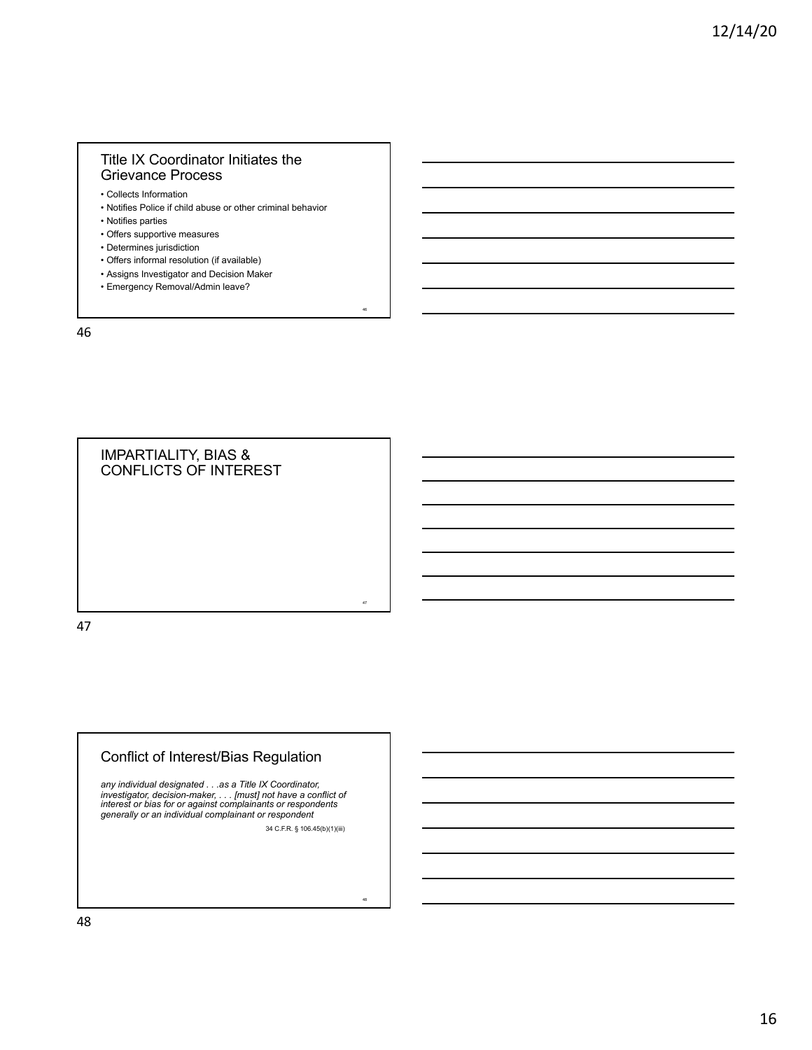# Title IX Coordinator Initiates the Grievance Process

• Collects Information

• Notifies Police if child abuse or other criminal behavior

46

47

48

- Notifies parties
- Offers supportive measures
- Determines jurisdiction
- Offers informal resolution (if available)
- Assigns Investigator and Decision Maker
- Emergency Removal/Admin leave?

46

IMPARTIALITY, BIAS & CONFLICTS OF INTEREST

47

# Conflict of Interest/Bias Regulation

*any individual designated . . .as a Title IX Coordinator, investigator, decision-maker, . . . [must] not have a conflict of interest or bias for or against complainants or respondents generally or an individual complainant or respondent* 34 C.F.R. § 106.45(b)(1)(iii)

48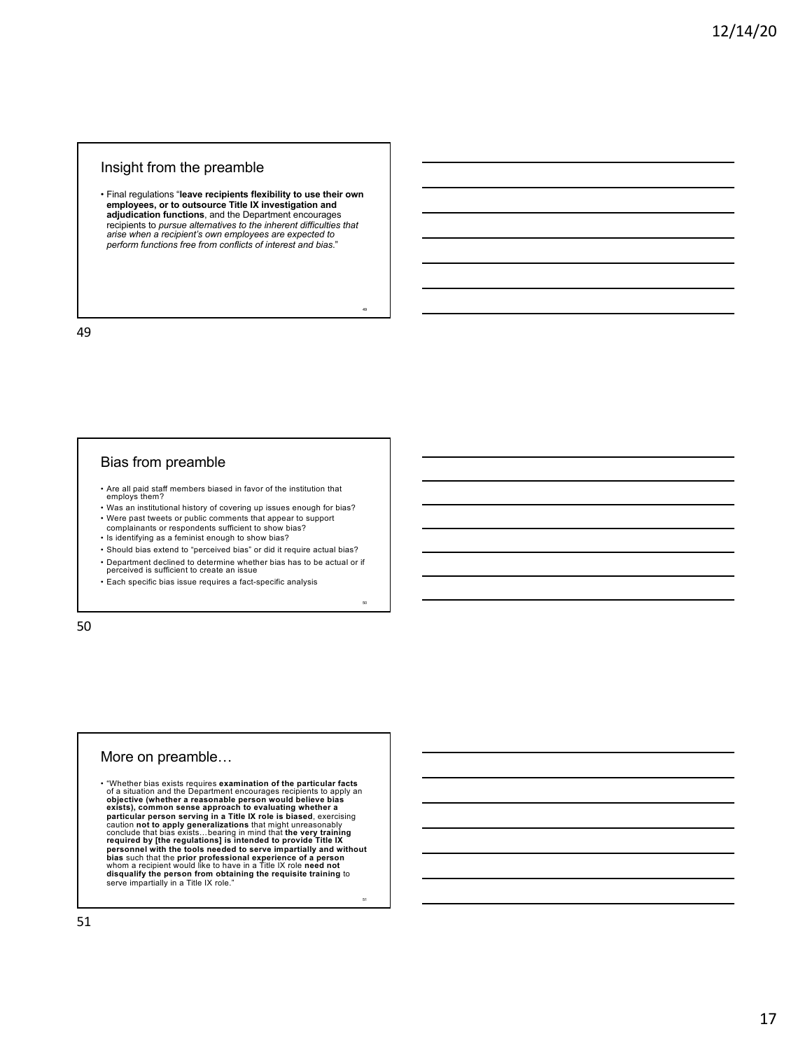#### Insight from the preamble

• Final regulations "**leave recipients flexibility to use their own**  employees, or to outsource Title IX investigation and<br>adjudication functions, and the Department encourages<br>recipients to *pursue alternatives to the inherent difficulties that*<br>*arise when a recipient's own employees are perform functions free from conflicts of interest and bias*."

49

50

51

49

#### Bias from preamble

- Are all paid staff members biased in favor of the institution that employs them?
- Was an institutional history of covering up issues enough for bias? • Were past tweets or public comments that appear to support
- complainants or respondents sufficient to show bias? • Is identifying as a feminist enough to show bias?
- Should bias extend to "perceived bias" or did it require actual bias?
- Department declined to determine whether bias has to be actual or if perceived is sufficient to create an issue
- 
- Each specific bias issue requires a fact-specific analysis

50

#### More on preamble…

• "Whether bias exists requires examination of the particular facts<br>of a situation and the Department encourages recipients to apply an<br>objective (whether a reasonable person would believe bias<br>exists), common sense appro personnel with the tools needed to serve impartially and without<br>bias such that the prior professional experience of a person<br>whom a recipient would like to have in a Title IX role need not<br>disqualify the person from obtai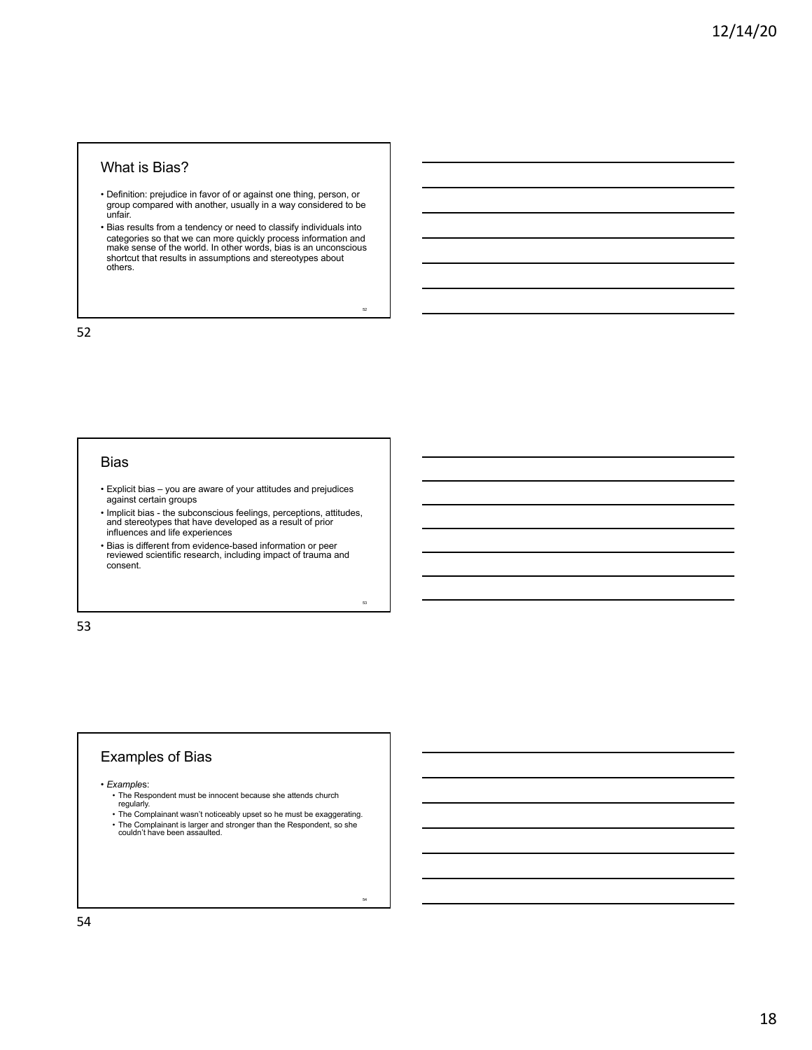#### What is Bias?

- Definition: prejudice in favor of or against one thing, person, or group compared with another, usually in a way considered to be unfair.
- Bias results from a tendency or need to classify individuals into categories so that we can more quickly process information and make sense of the world. In other words, bias is an unconscious shortcut that results in assumptions and stereotypes about others.

52

53

54

52

#### Bias

- Explicit bias you are aware of your attitudes and prejudices against certain groups
- Implicit bias the subconscious feelings, perceptions, attitudes, and stereotypes that have developed as a result of prior influences and life experiences
- Bias is different from evidence-based information or peer reviewed scientific research, including impact of trauma and consent.

53

## Examples of Bias

• *Example*s:

- The Respondent must be innocent because she attends church regularly.
- The Complainant wasn't noticeably upset so he must be exaggerating. • The Complainant is larger and stronger than the Respondent, so she couldn't have been assaulted.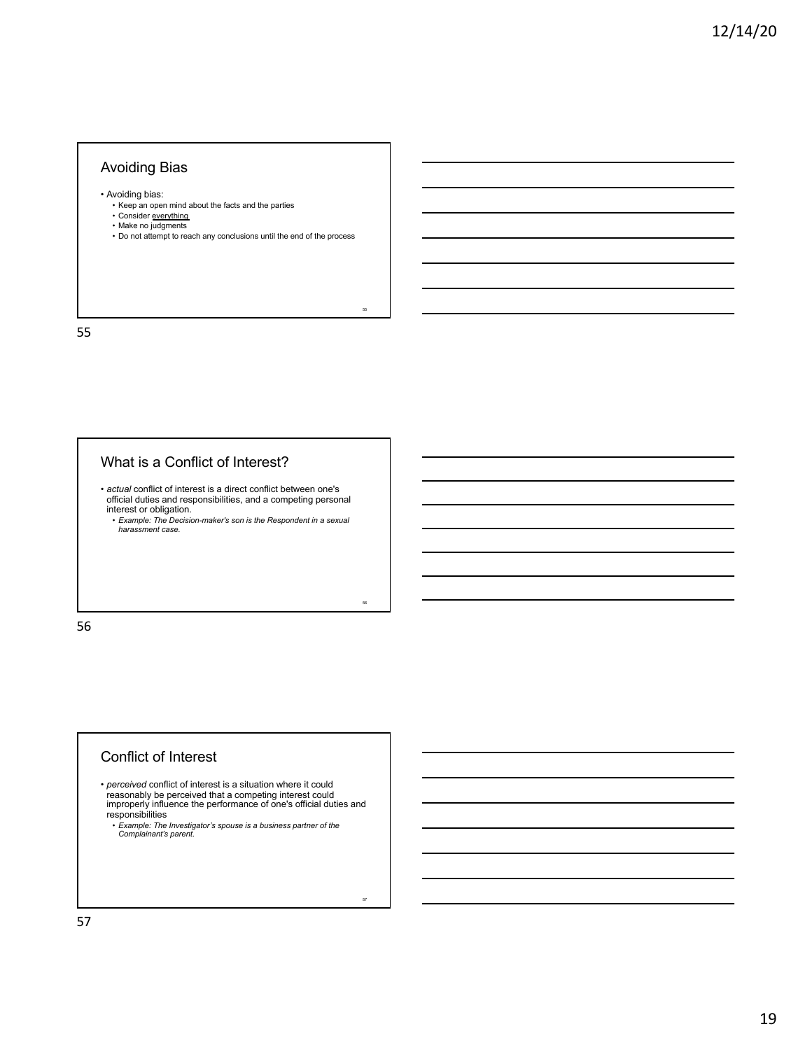## Avoiding Bias

• Avoiding bias:

- Keep an open mind about the facts and the parties
- Consider everything Make no judgments
- 
- Do not attempt to reach any conclusions until the end of the process

55

56

57

55

# What is a Conflict of Interest?

• *actual* conflict of interest is a direct conflict between one's official duties and responsibilities, and a competing personal interest or obligation.

• *Example: The Decision-maker's son is the Respondent in a sexual harassment case.*

56

#### Conflict of Interest

• *perceived* conflict of interest is a situation where it could reasonably be perceived that a competing interest could improperly influence the performance of one's official duties and responsibilities

• *Example: The Investigator's spouse is a business partner of the Complainant's parent.*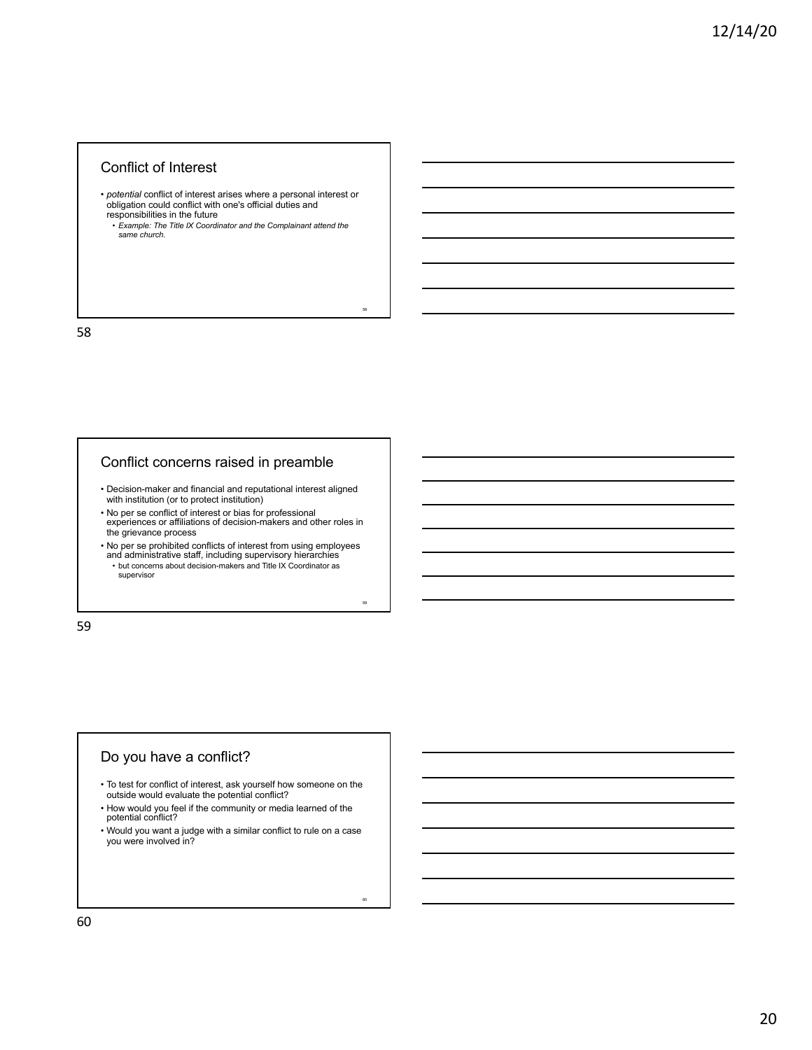## Conflict of Interest

• *potential* conflict of interest arises where a personal interest or obligation could conflict with one's official duties and responsibilities in the future

• *Example: The Title IX Coordinator and the Complainant attend the same church.*

58

59

60

58

### Conflict concerns raised in preamble

• Decision-maker and financial and reputational interest aligned with institution (or to protect institution)

• No per se conflict of interest or bias for professional experiences or affiliations of decision-makers and other roles in the grievance process

• No per se prohibited conflicts of interest from using employees and administrative staff, including supervisory hierarchies • but concerns about decision-makers and Title IX Coordinator as supervisor

59

## Do you have a conflict?

- To test for conflict of interest, ask yourself how someone on the outside would evaluate the potential conflict?
- How would you feel if the community or media learned of the potential conflict?
- Would you want a judge with a similar conflict to rule on a case you were involved in?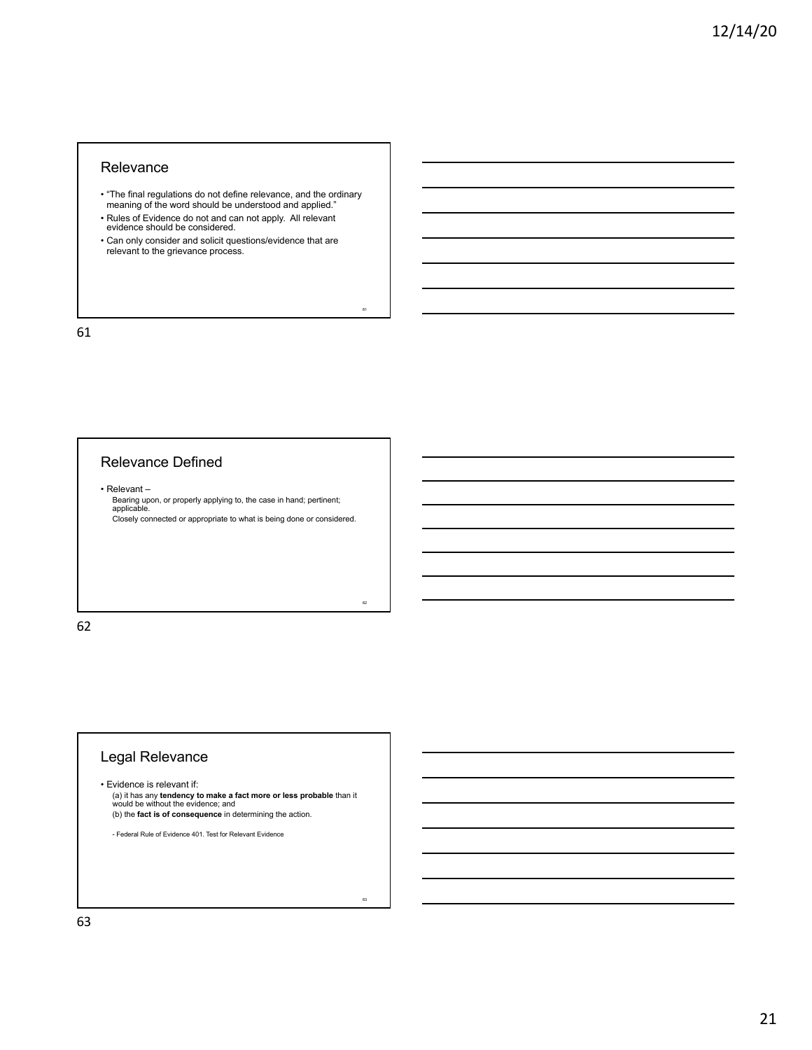#### **Relevance**

• "The final regulations do not define relevance, and the ordinary meaning of the word should be understood and applied."

61

62

63

- Rules of Evidence do not and can not apply. All relevant evidence should be considered.
- Can only consider and solicit questions/evidence that are relevant to the grievance process.

61

# Relevance Defined

• Relevant –

Bearing upon, or properly applying to, the case in hand; pertinent; applicable. Closely connected or appropriate to what is being done or considered.

62

# Legal Relevance

• Evidence is relevant if: (a) it has any **tendency to make a fact more or less probable** than it would be without the evidence; and (b) the **fact is of consequence** in determining the action.

- Federal Rule of Evidence 401. Test for Relevant Evidence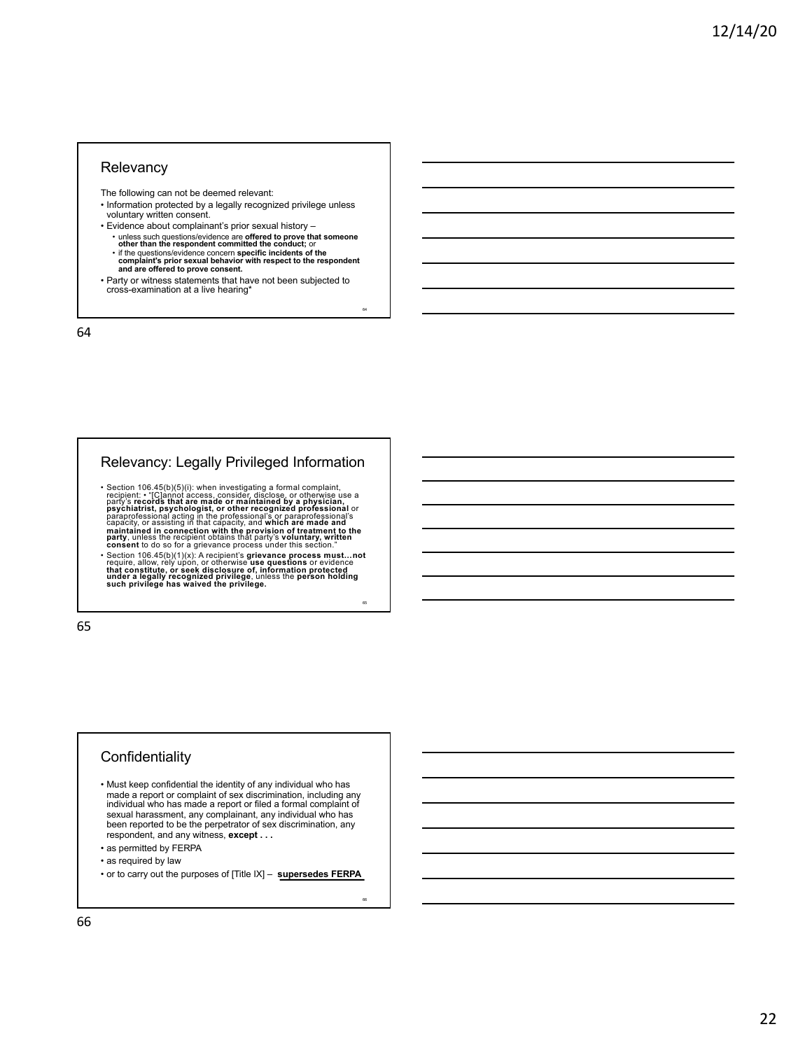#### **Relevancy**

The following can not be deemed relevant:

- Information protected by a legally recognized privilege unless voluntary written consent.
- Evidence about complainant's prior sexual history
	- unless such questions/evidence are offered to prove that someone<br>other than the respondent committed the conduct; or<br>• if the questions/evidence concern specific incidents of the<br>complaint's prior sexual behavior with re
	-

64

65

66

• Party or witness statements that have not been subjected to cross-examination at a live hearing\*

64

# Relevancy: Legally Privileged Information

• Section 106.45(b)(5)(i): when investigating a formal complaint, recipient: "iC]ànnot access, consider, disclose, or otherwise use a<br>party's **records that are made or maintained by a physician,**<br>**psychiatrist, psychologist, or other recognized professional** or<br>paraprofessional acting i maintained in connection with the provision of treatment to the<br>party, unless the recipient obtains that party's voluntary, written<br>consent to do so for a grievance process under this section."

• Section 106.45(b)(1)(x): A recipient's grievance process must....not<br>require, allow, rely upon, or otherwise use questions or evidence<br>that constitute, or seek disclosure of, information protected<br>under a legally recogni

65

# **Confidentiality**

- Must keep confidential the identity of any individual who has made a report or complaint of sex discrimination, including any individual who has made a report or filed a formal complaint of sexual harassment, any complainant, any individual who has been reported to be the perpetrator of sex discrimination, any respondent, and any witness, **except . . .**
- as permitted by FERPA
- as required by law
- or to carry out the purposes of [Title IX] **supersedes FERPA**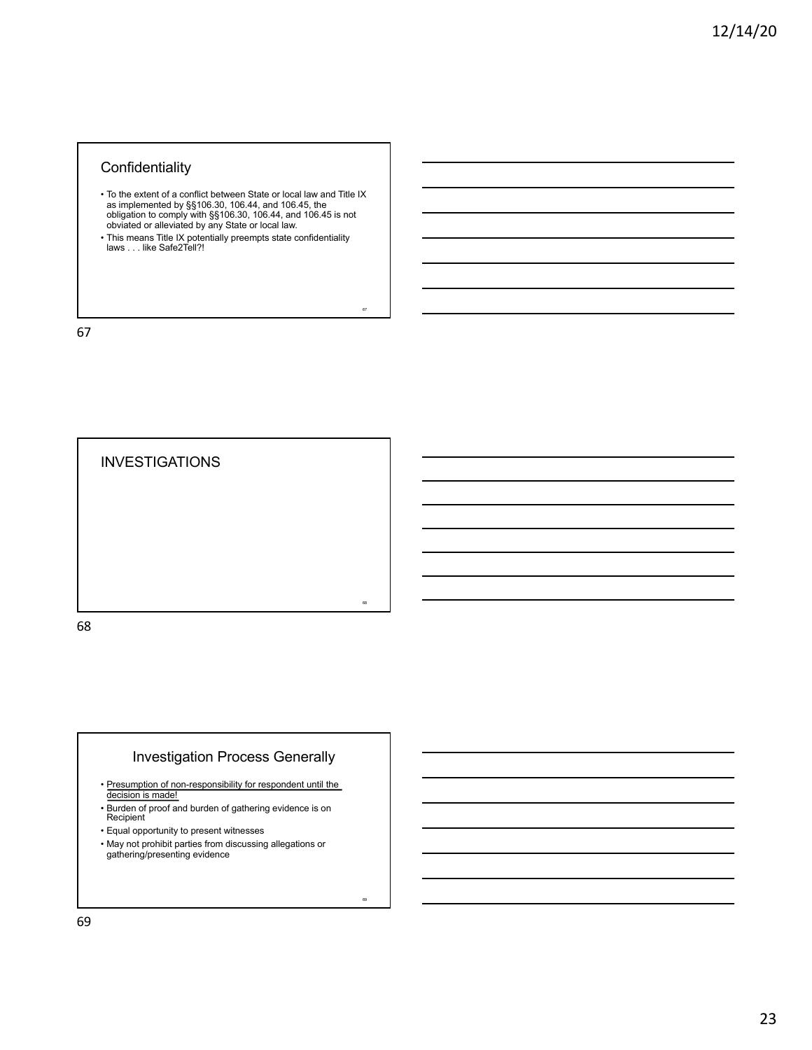## **Confidentiality**

• To the extent of a conflict between State or local law and Title IX as implemented by §§106.30, 106.44, and 106.45, the obligation to comply with §§106.30, 106.44, and 106.45 is not obviated or alleviated by any State or local law.

67

69

• This means Title IX potentially preempts state confidentiality laws . . . like Safe2Tell?!

67

**INVESTIGATIONS** 68 68

# Investigation Process Generally

- Presumption of non-responsibility for respondent until the decision is made!
- Burden of proof and burden of gathering evidence is on Recipient
- Equal opportunity to present witnesses
- May not prohibit parties from discussing allegations or gathering/presenting evidence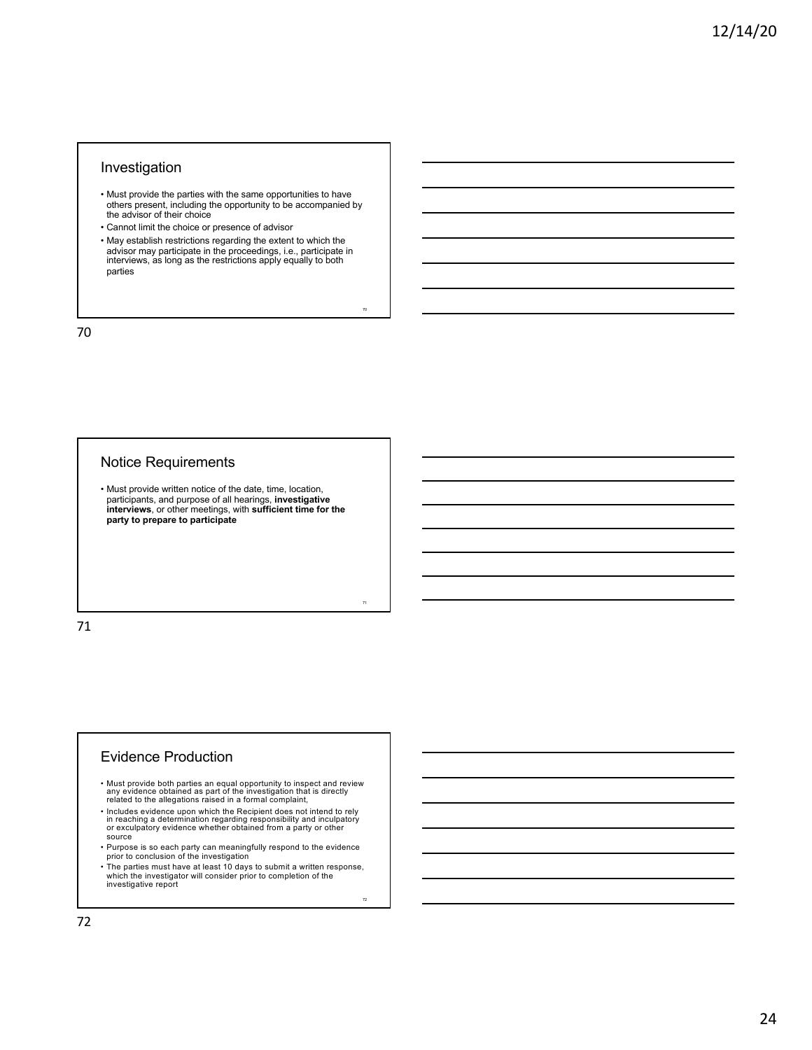## Investigation

- Must provide the parties with the same opportunities to have others present, including the opportunity to be accompanied by the advisor of their choice
- Cannot limit the choice or presence of advisor
- May establish restrictions regarding the extent to which the advisor may participate in the proceedings, i.e., participate in interviews, as long as the restrictions apply equally to both parties

70

71

72

70

#### Notice Requirements

• Must provide written notice of the date, time, location, participants, and purpose of all hearings, **investigative interviews**, or other meetings, with **sufficient time for the party to prepare to participate**

71

#### Evidence Production

- Must provide both parties an equal opportunity to inspect and review any evidence obtained as part of the investigation that is directly related to the allegations raised in a formal complaint,
- Includes evidence upon which the Recipient does not intend to rely in reaching a determination regarding responsibility and inculpatory or exculpatory evidence whether obtained from a party or other source
- Purpose is so each party can meaningfully respond to the evidence prior to conclusion of the investigation
- The parties must have at least 10 days to submit a written response, which the investigator will consider prior to completion of the investigative report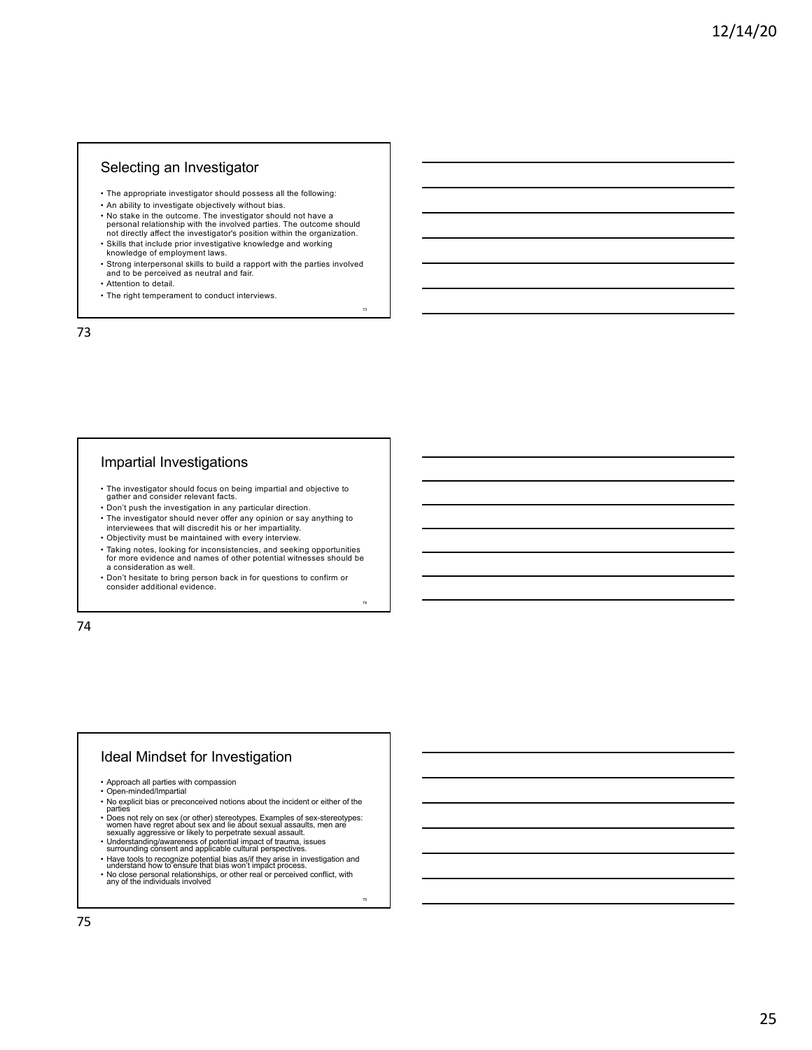#### Selecting an Investigator

- The appropriate investigator should possess all the following:
- An ability to investigate objectively without bias.
- No stake in the outcome. The investigator should not have a personal relationship with the involved parties. The outcome should not directly affect the investigator's position within the organization.
- Skills that include prior investigative knowledge and working knowledge of employment laws.
- Strong interpersonal skills to build a rapport with the parties involved and to be perceived as neutral and fair.

73

74

75

- Attention to detail.
- The right temperament to conduct interviews.

73

## Impartial Investigations

- The investigator should focus on being impartial and objective to gather and consider relevant facts.
- Don't push the investigation in any particular direction.
- The investigator should never offer any opinion or say anything to interviewees that will discredit his or her impartiality.
- Objectivity must be maintained with every interview.
- Taking notes, looking for inconsistencies, and seeking opportunities for more evidence and names of other potential witnesses should be a consideration as well.
- Don't hesitate to bring person back in for questions to confirm or consider additional evidence.

74

## Ideal Mindset for Investigation

- Approach all parties with compassion Open-minded/Impartial
- 
- No explicit bias or preconceived notions about the incident or either of the<br>parties not rely on sex (or other) stereotypes. Examples of sex-stereotypes:<br>• Does not rely on sex (or other) stereotypes. Examples of sex-ste
- 
- Understanding/awareness of potential impact of trauma, issues surrounding consent and applicable cultural perspectives.
- Have tools to recognize potential bias as/if they arise in investigation and understand how to ensure that bias won't impact process.
- No close personal relationships, or other real or perceived conflict, with any of the individuals involved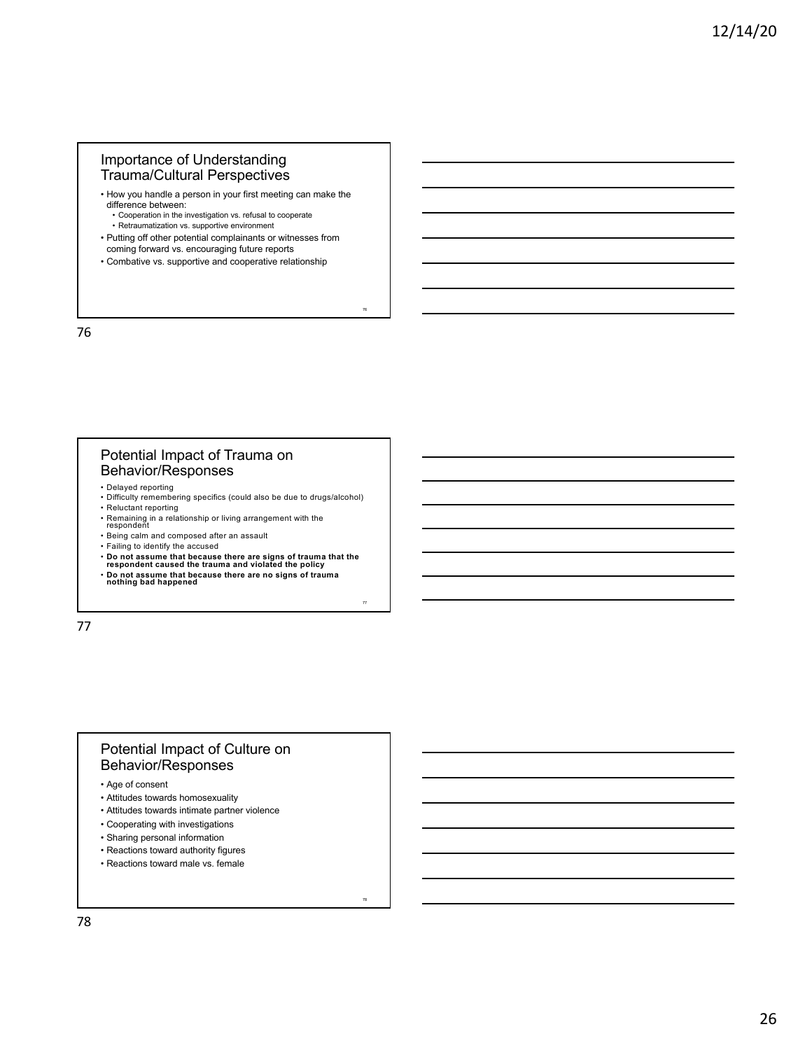## Importance of Understanding Trauma/Cultural Perspectives

- How you handle a person in your first meeting can make the difference between: • Cooperation in the investigation vs. refusal to cooperate
	-
	- Retraumatization vs. supportive environment
- Putting off other potential complainants or witnesses from coming forward vs. encouraging future reports

76

77

78

• Combative vs. supportive and cooperative relationship

76

#### Potential Impact of Trauma on Behavior/Responses

- 
- Delayed reporting Difficulty remembering specifics (could also be due to drugs/alcohol) • Reluctant reporting
- Remaining in a relationship or living arrangement with the respondent
- 
- Being calm and composed after an assault
- Failing to identify the accused
- **Do not assume that because there are signs of trauma that the respondent caused the trauma and violated the policy**
- **Do not assume that because there are no signs of trauma nothing bad happened**

77

## Potential Impact of Culture on Behavior/Responses

- Age of consent
- Attitudes towards homosexuality
- Attitudes towards intimate partner violence
- Cooperating with investigations
- Sharing personal information
- Reactions toward authority figures
- Reactions toward male vs. female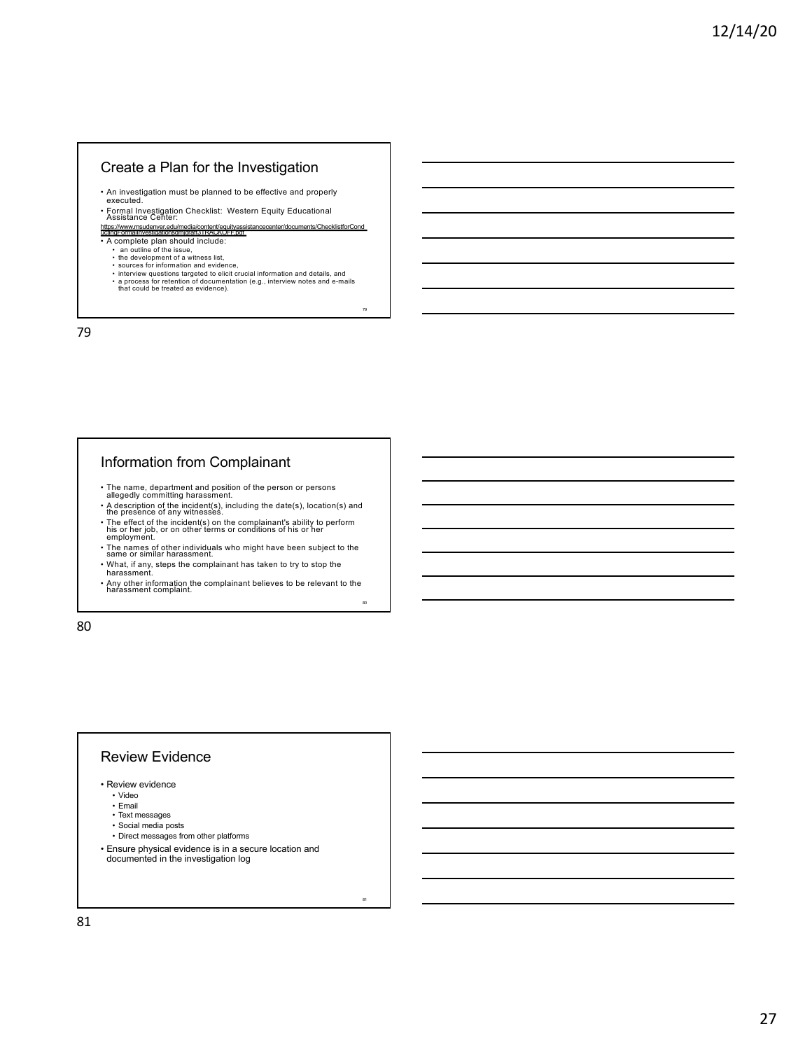### Create a Plan for the Investigation

- An investigation must be planned to be effective and properly executed.
- Formal Investigation Checklist: Western Equity Educational Assistance Center:
- https://www.msudenver.edu/media/content/equityassistancecenter/documents/ChecklistforCond<br>uctingFormalInvestigationsdmjdraft3TRACKOFF.pdf • A complete plan should include:
	-
	-
	-
	- an outline of the issue,<br>• the development of a witness list,<br>• sources for information and evidence,<br>• interview questions targeted to elicit crucial information and details, and • a process for retention of documentation (e.g., interview notes and e-mails that could be treated as evidence).

79

<sup>81</sup>

79

# Information from Complainant

- 
- The name, department and position of the person or persons<br>allegedly committing harassment.<br>• A description of the incident(s), including the date(s), location(s) and<br>the presence of any witnesses.<br>• The effect of the i
- employment.
- The names of other individuals who might have been subject to the same or similar harassment.
- What, if any, steps the complainant has taken to try to stop the harassment.
- Any other information the complainant believes to be relevant to the harassment complaint. 80

80

## Review Evidence

- Review evidence
	- Video
	- Email
	- Text messages
	- Social media posts
- Direct messages from other platforms
- Ensure physical evidence is in a secure location and documented in the investigation log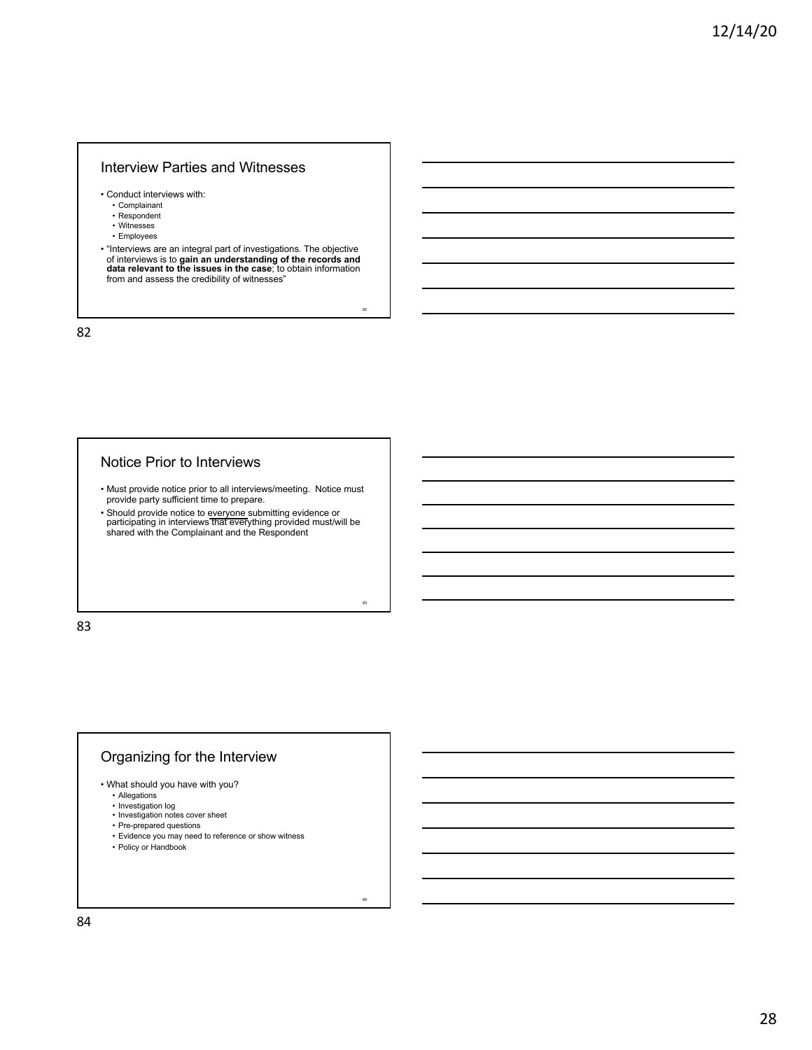### Interview Parties and Witnesses

- Conduct interviews with:
	- Complainant
	- Respondent
	- Witnesses • Employees
	-

• "Interviews are an integral part of investigations. The objective of interviews is to **gain an understanding of the records and data relevant to the issues in the case**; to obtain information from and assess the credibility of witnesses"

82

83

84

82

#### Notice Prior to Interviews

- Must provide notice prior to all interviews/meeting. Notice must provide party sufficient time to prepare.
- Should provide notice to everyone submitting evidence or participating in interviews that everything provided must/will be shared with the Complainant and the Respondent

83

# Organizing for the Interview

- What should you have with you?
	- Allegations
	-
	- Investigation log Investigation notes cover sheet
	- Pre-prepared questions
	- Evidence you may need to reference or show witness
	- Policy or Handbook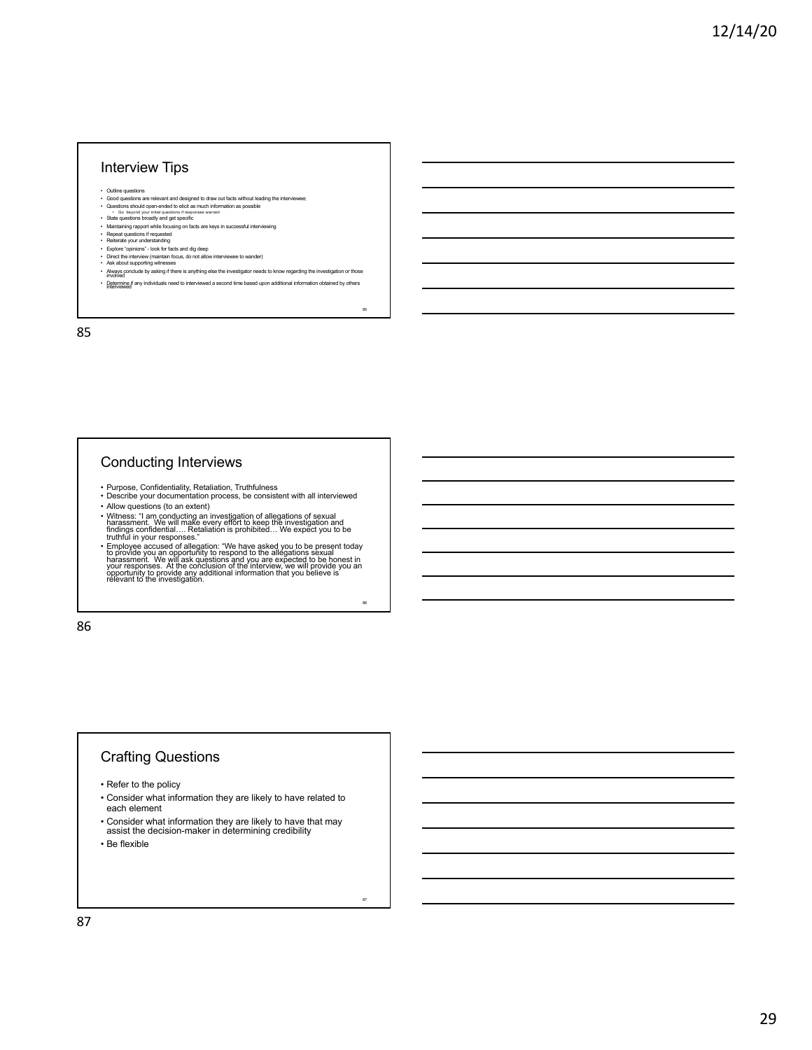#### Interview Tips

• Outline questions

- Good questions are relevant and designed to draw out facts without leading the interviewee;<br>• Questions should open-ended to elicit as much information as possible<br>• Go beyond your initial questions if responses warrant<br>•
- 
- Maintaining rapport while focusing on facts are keys in successful interviewing<br>• Repeat questions if requested<br>• Reiterate your understanding<br>• Explore "opinions" look for facts and dig deep
- 
- 
- 
- Direct the interview (maintain focus, do not allow interviewee to wander) Ask about supporting witnesses
- Always conclude by asking if there is anything else the investigator needs to know regarding the investigation or those involved • Determine if any individuals need to interviewed a second time based upon additional information obtained by others interviewed

85

86

87

85

## Conducting Interviews

- Purpose, Confidentiality, Retaliation, Truthfulness
- Describe your documentation process, be consistent with all interviewed • Allow questions (to an extent)
- 
- 

• Witness: "I am conducting an investigation of allegations of sexual<br>harassment. We will make every effort to keep the investigation and<br>findings confidential.... Retailation is prohibited... We expect you to be<br>truthful

86

# Crafting Questions

• Refer to the policy

- Consider what information they are likely to have related to each element
- 
- Consider what information they are likely to have that may assist the decision-maker in determining credibility

• Be flexible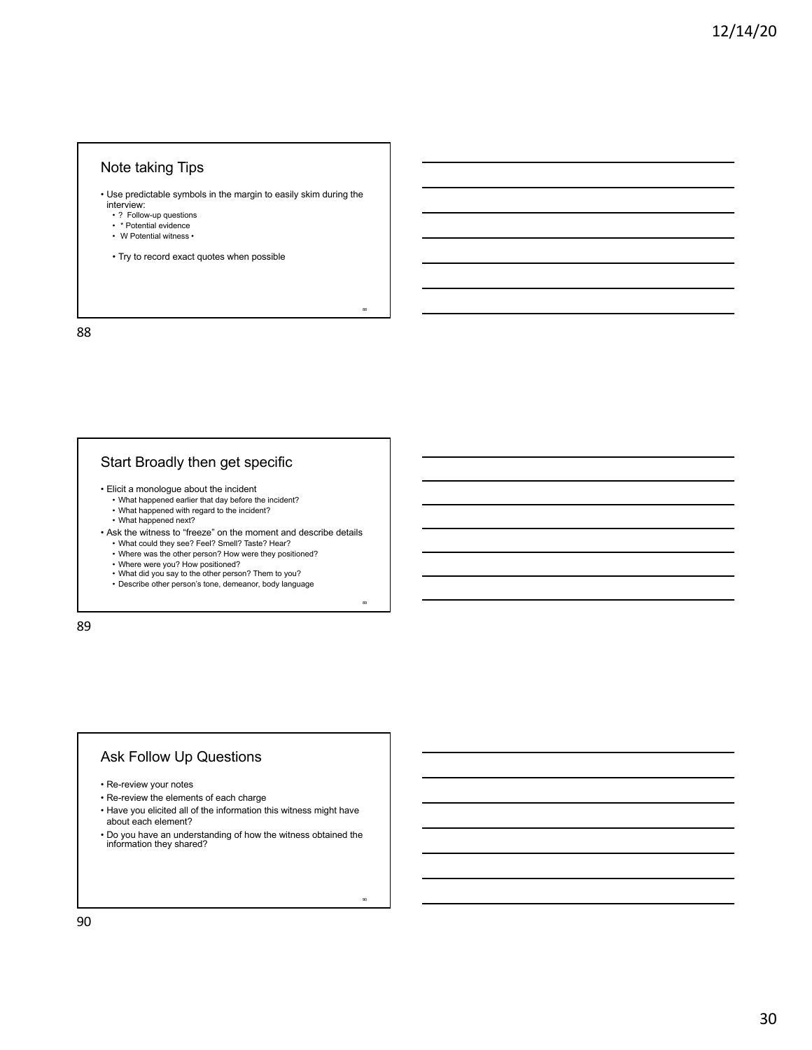## Note taking Tips

• Use predictable symbols in the margin to easily skim during the

88

89

90

- interview: ? Follow-up questions
- 
- \* Potential evidence W Potential witness •
- Try to record exact quotes when possible

88

# Start Broadly then get specific

- Elicit a monologue about the incident
	- What happened earlier that day before the incident?
	- What happened with regard to the incident? What happened next?
	-
- Ask the witness to "freeze" on the moment and describe details
	- What could they see? Feel? Smell? Taste? Hear? • Where was the other person? How were they positioned?
	-
	- Where were you? How positioned? What did you say to the other person? Them to you?
	-
	- Describe other person's tone, demeanor, body language

89

## Ask Follow Up Questions

- Re-review your notes
- Re-review the elements of each charge
- Have you elicited all of the information this witness might have about each element?
- Do you have an understanding of how the witness obtained the information they shared?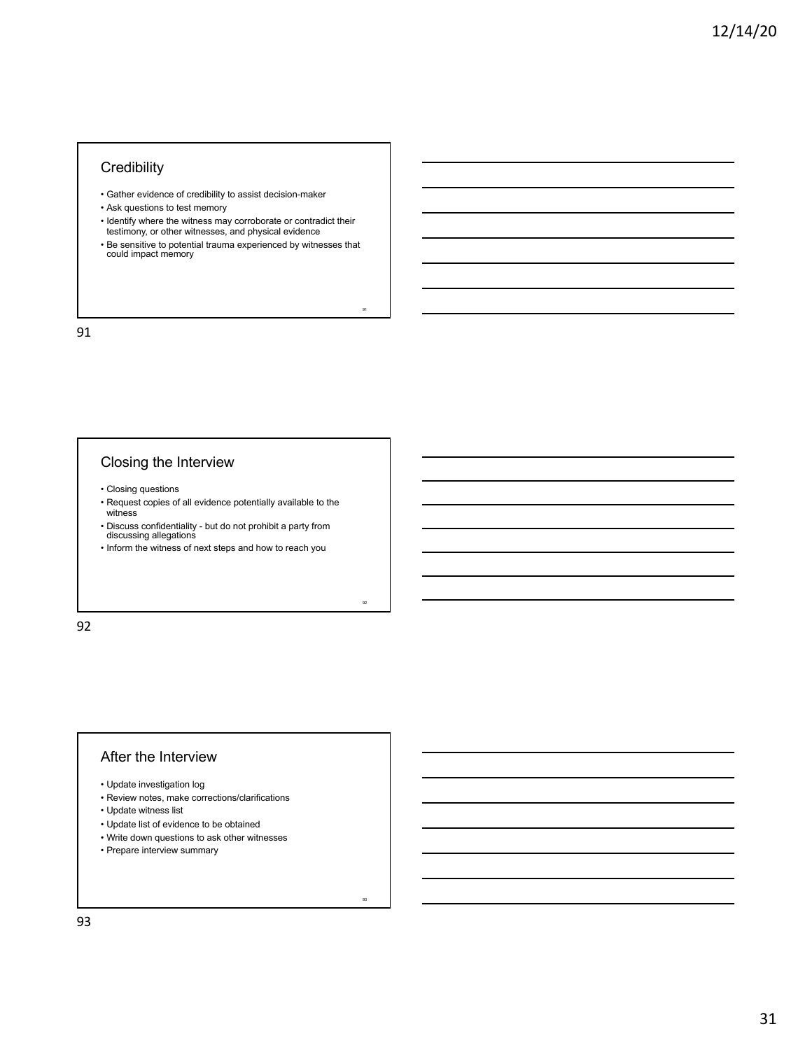## **Credibility**

- Gather evidence of credibility to assist decision-maker
- Ask questions to test memory
- Identify where the witness may corroborate or contradict their testimony, or other witnesses, and physical evidence
- Be sensitive to potential trauma experienced by witnesses that could impact memory

91

92

93

91

# Closing the Interview

- Closing questions
- Request copies of all evidence potentially available to the witness
- Discuss confidentiality but do not prohibit a party from discussing allegations
- Inform the witness of next steps and how to reach you

92

#### After the Interview

- Update investigation log
- Review notes, make corrections/clarifications
- Update witness list
- Update list of evidence to be obtained
- Write down questions to ask other witnesses
- Prepare interview summary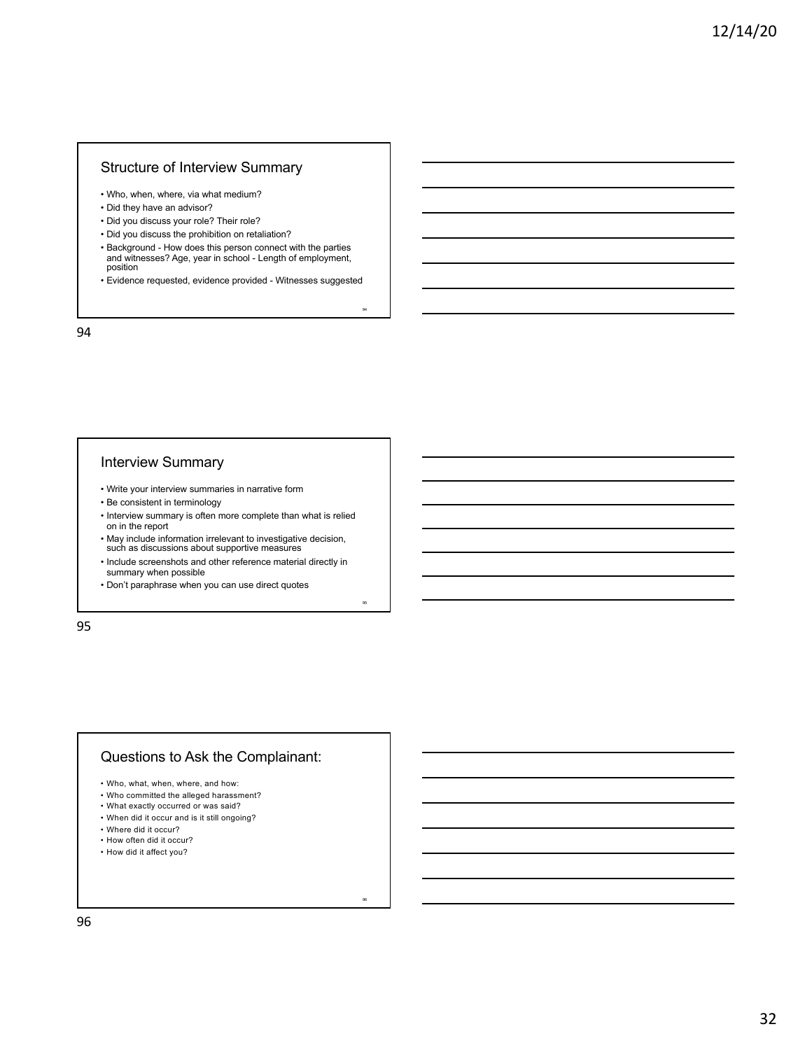## Structure of Interview Summary

- Who, when, where, via what medium?
- Did they have an advisor?
- Did you discuss your role? Their role?
- Did you discuss the prohibition on retaliation?
- Background How does this person connect with the parties and witnesses? Age, year in school - Length of employment, position
- Evidence requested, evidence provided Witnesses suggested

94

95

96

94

#### Interview Summary

- Write your interview summaries in narrative form
- Be consistent in terminology
- Interview summary is often more complete than what is relied on in the report
- May include information irrelevant to investigative decision, such as discussions about supportive measures
- Include screenshots and other reference material directly in summary when possible
- Don't paraphrase when you can use direct quotes

95

## Questions to Ask the Complainant:

- Who, what, when, where, and how:
- Who committed the alleged harassment?
- What exactly occurred or was said?
- When did it occur and is it still ongoing?
- Where did it occur?
- How often did it occur?
- How did it affect you?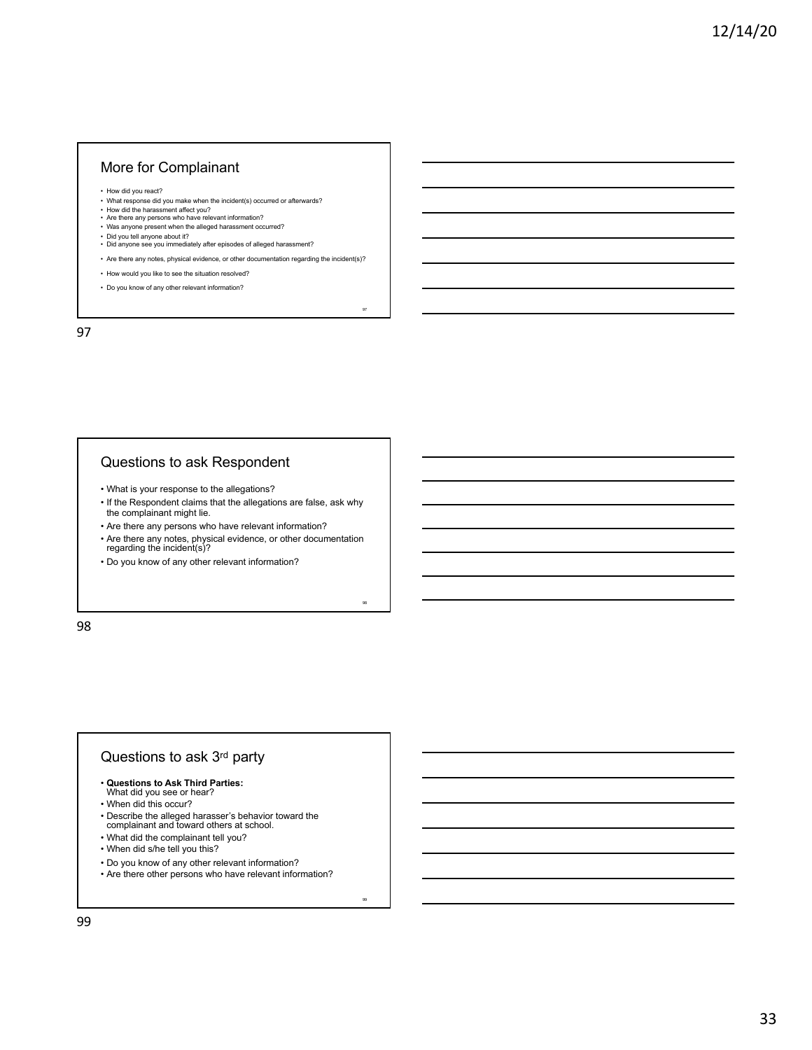#### More for Complainant

- 
- How did you react? What response did you make when the incident(s) occurred or afterwards?
- How did the harassment affect you? Are there any persons who have relevant information?
- Was anyone present when the alleged harassment occurred?
- 
- Did you tell anyone about it? Did anyone see you immediately after episodes of alleged harassment?
- Are there any notes, physical evidence, or other documentation regarding the incident(s)?

97

98

99

- How would you like to see the situation resolved?
- Do you know of any other relevant information?

97

## Questions to ask Respondent

- What is your response to the allegations?
- If the Respondent claims that the allegations are false, ask why the complainant might lie.
- Are there any persons who have relevant information?
- Are there any notes, physical evidence, or other documentation regarding the incident(s)?
- Do you know of any other relevant information?

98

## Questions to ask 3rd party

- **Questions to Ask Third Parties:** What did you see or hear?
- 
- When did this occur?
- Describe the alleged harasser's behavior toward the complainant and toward others at school.
- What did the complainant tell you?
- When did s/he tell you this?
- Do you know of any other relevant information?
- Are there other persons who have relevant information?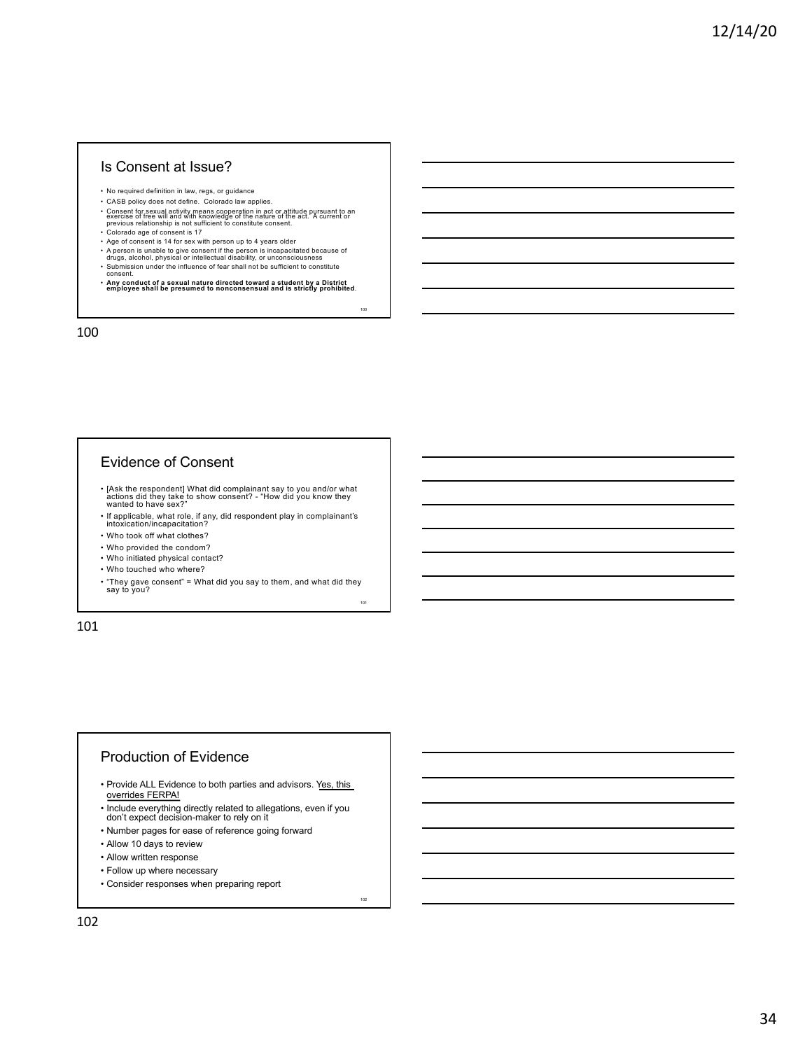#### Is Consent at Issue?

- No required definition in law, regs, or guidance
- CASB policy does not define. Colorado law applies.
- Consent for sexual activity means cooperation in act or attitude pursuant to an<br>exercise of free will and with knowledge of the nature of the act. A current or<br>previous relationship is not sufficient to constitute consen • Colorado age of consent is 17
- 
- Age of consent is 14 for sex with person up to 4 years older
- A person is unable to give consent if the person is incapacitated because of<br>drugs, alcohol, physical or intellectual disability, or unconsciousness<br>• Submission under the influence of fear shall not be sufficient to con
- 

• **Any conduct of a sexual nature directed toward a student by a District employee shall be presumed to nonconsensual and is strictly prohibited**.

100

101

102

100

# Evidence of Consent

- [Ask the respondent] What did complainant say to you and/or what actions did they take to show consent? "How did you know they wanted to have sex?"
- If applicable, what role, if any, did respondent play in complainant's intoxication/incapacitation?
- Who took off what clothes?
- Who provided the condom?
- Who initiated physical contact?
- Who touched who where?
- "They gave consent" = What did you say to them, and what did they say to you?

101

#### Production of Evidence

- Provide ALL Evidence to both parties and advisors. Yes, this overrides FERPA!
- Include everything directly related to allegations, even if you don't expect decision-maker to rely on it
- Number pages for ease of reference going forward
- Allow 10 days to review
- Allow written response
- Follow up where necessary
- Consider responses when preparing report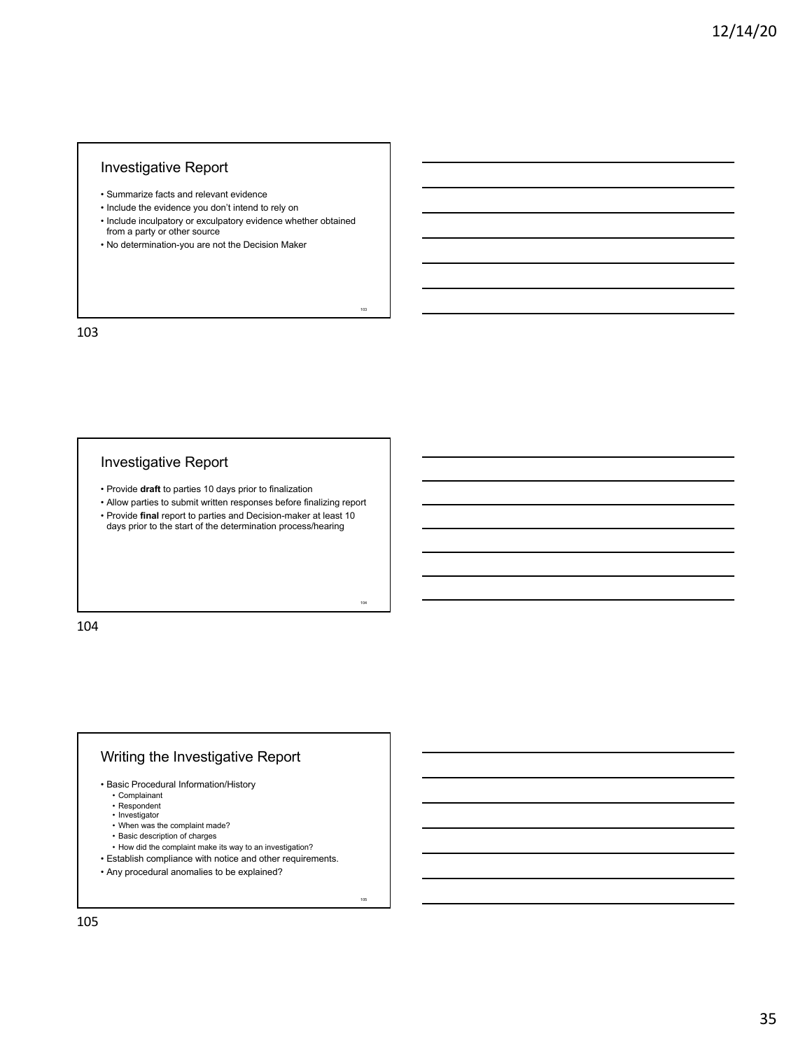# Investigative Report

- Summarize facts and relevant evidence
- Include the evidence you don't intend to rely on
- Include inculpatory or exculpatory evidence whether obtained from a party or other source

103

104

105

• No determination-you are not the Decision Maker

103

# Investigative Report

- Provide **draft** to parties 10 days prior to finalization
- Allow parties to submit written responses before finalizing report
- Provide **final** report to parties and Decision-maker at least 10 days prior to the start of the determination process/hearing

104

# Writing the Investigative Report

- Basic Procedural Information/History
	- Complainant
	- Respondent
	- Investigator • When was the complaint made?
	- Basic description of charges
	- How did the complaint make its way to an investigation?
- Establish compliance with notice and other requirements.
- Any procedural anomalies to be explained?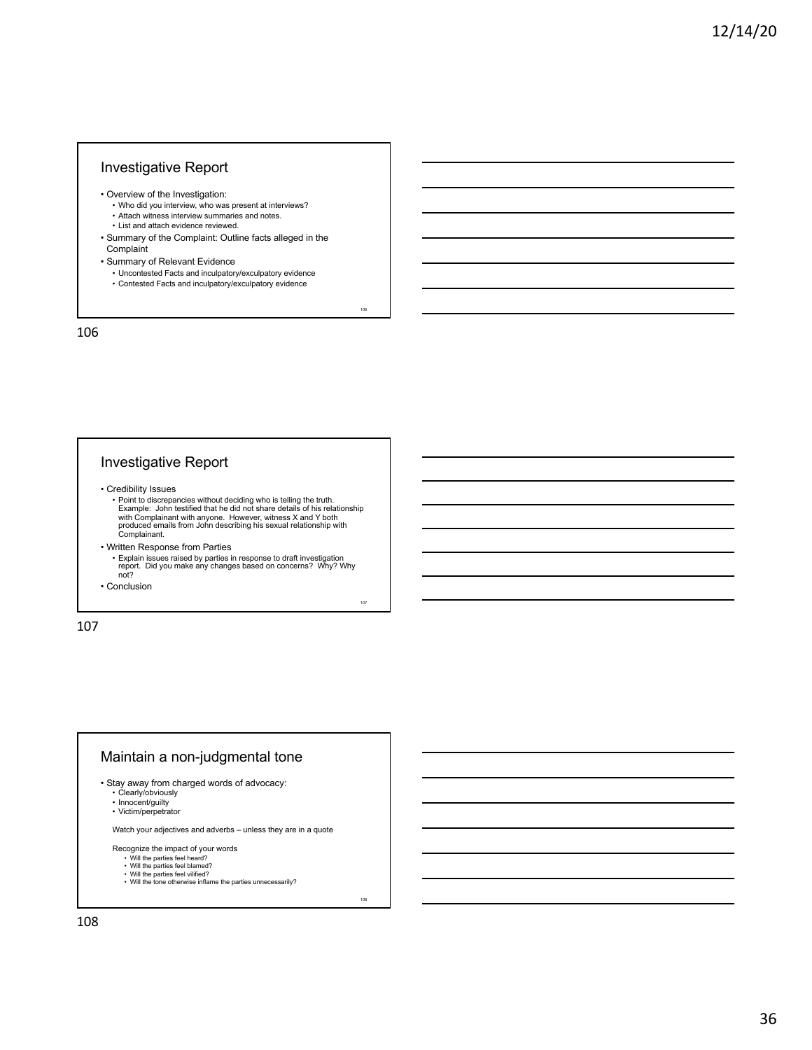## Investigative Report

- Overview of the Investigation:
	- Who did you interview, who was present at interviews? • Attach witness interview summaries and notes.
	- List and attach evidence reviewed.
- Summary of the Complaint: Outline facts alleged in the Complaint
- Summary of Relevant Evidence
	- Uncontested Facts and inculpatory/exculpatory evidence

106

107

108

• Contested Facts and inculpatory/exculpatory evidence

106

## Investigative Report

- Credibility Issues
	- Point to discrepancies without deciding who is telling the truth. Example: John testified that he did not share details of his relationship with Complainant with anyone. However, witness X and Y both produced emails from John describing his sexual relationship with Complainant.
- Written Response from Parties
	- Explain issues raised by parties in response to draft investigation report. Did you make any changes based on concerns? Why? Why not?

• Conclusion

107

# Maintain a non-judgmental tone

- Stay away from charged words of advocacy:
	- Clearly/obviously Innocent/guilty
	-
	- Victim/perpetrator

Watch your adjectives and adverbs – unless they are in a quote

- 
- Recognize the impact of your words<br>• Will the parties feel heard?<br>• Will the parties feel blamed?
	-
	- Will the parties feel vilified? Will the tone otherwise inflame the parties unnecessarily?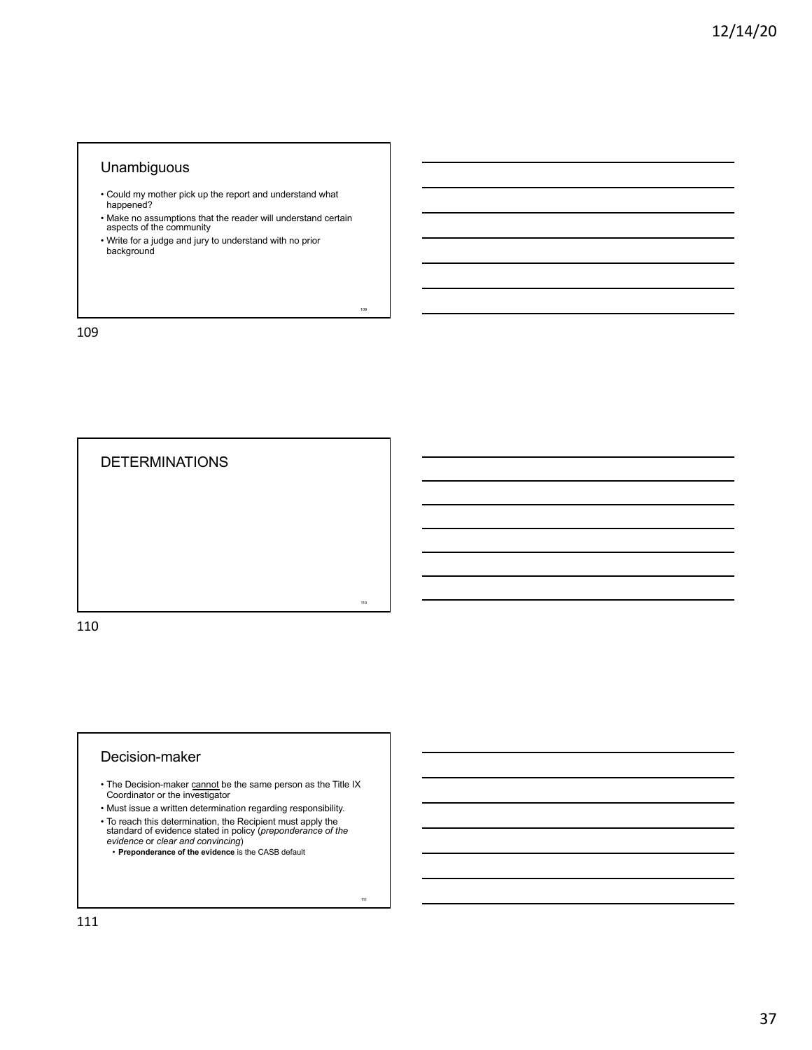## Unambiguous

- Could my mother pick up the report and understand what happened?
- Make no assumptions that the reader will understand certain aspects of the community

109

<sub>111</sub>

• Write for a judge and jury to understand with no prior background

109



# Decision-maker

- The Decision-maker cannot be the same person as the Title IX Coordinator or the investigator
- Must issue a written determination regarding responsibility.
- 
- To reach this determination, the Recipient must apply the standard of evidence stated in policy (*preponderance of the evidence* or *clear and convincing*) • **Preponderance of the evidence** is the CASB default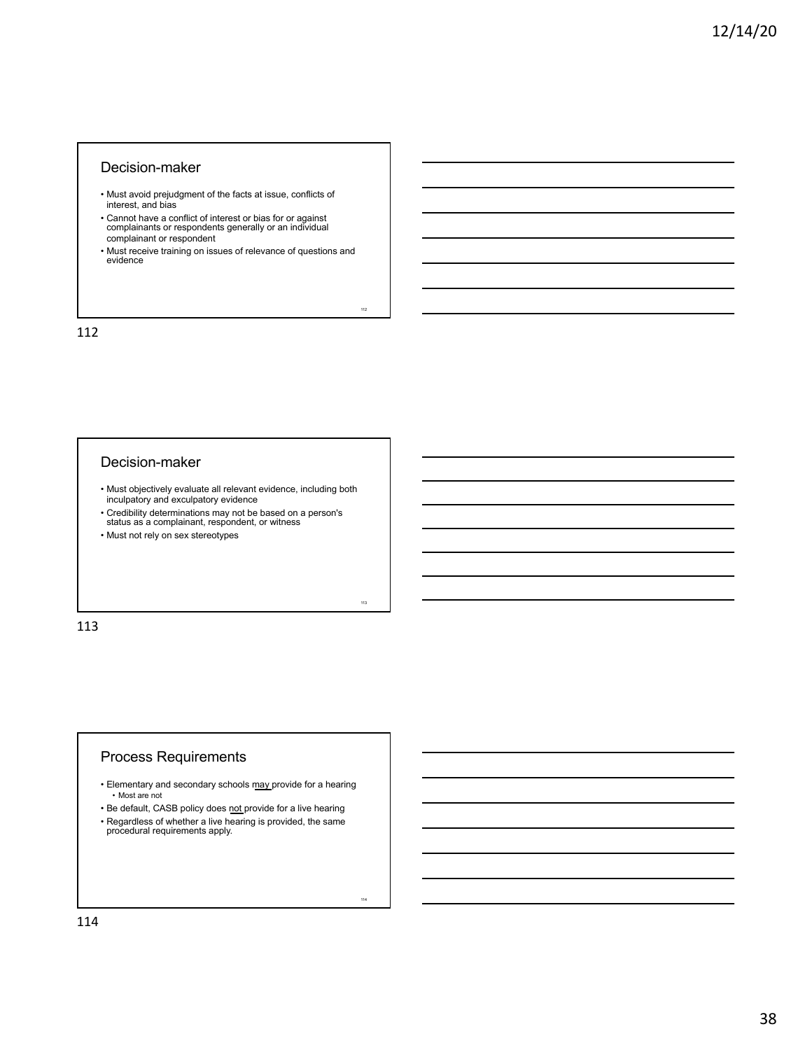#### Decision-maker

- Must avoid prejudgment of the facts at issue, conflicts of interest, and bias
- Cannot have a conflict of interest or bias for or against complainants or respondents generally or an individual complainant or respondent
- Must receive training on issues of relevance of questions and evidence

112

113

 $\ddot{ }$ 

112

#### Decision-maker

- Must objectively evaluate all relevant evidence, including both inculpatory and exculpatory evidence
- Credibility determinations may not be based on a person's status as a complainant, respondent, or witness
- Must not rely on sex stereotypes

113

## Process Requirements

- Elementary and secondary schools may provide for a hearing • Most are not
- Be default, CASB policy does not provide for a live hearing
- Regardless of whether a live hearing is provided, the same procedural requirements apply.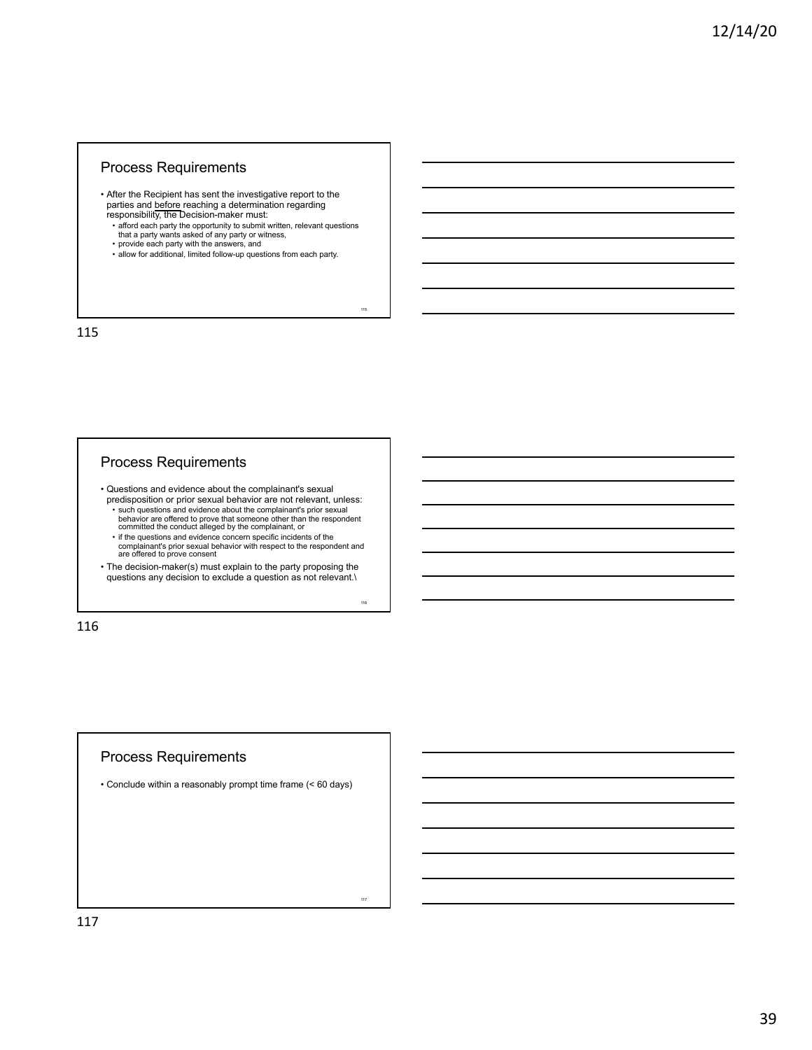## Process Requirements

- After the Recipient has sent the investigative report to the parties and before reaching a determination regarding responsibility, the Decision-maker must:
	- afford each party the opportunity to submit written, relevant questions that a party wants asked of any party or witness, provide each party with the answers, and

115

116

117

- 
- allow for additional, limited follow-up questions from each party.

115

### Process Requirements

• Questions and evidence about the complainant's sexual predisposition or prior sexual behavior are not relevant, unless:

• such questions and evidence about the complainant's prior sexual behavior are offered to prove that someone other than the respondent committed the conduct alleged by the complainant, or

• if the questions and evidence concern specific incidents of the complainant's prior sexual behavior with respect to the respondent and are offered to prove consent

• The decision-maker(s) must explain to the party proposing the questions any decision to exclude a question as not relevant.\

116

## Process Requirements

• Conclude within a reasonably prompt time frame (< 60 days)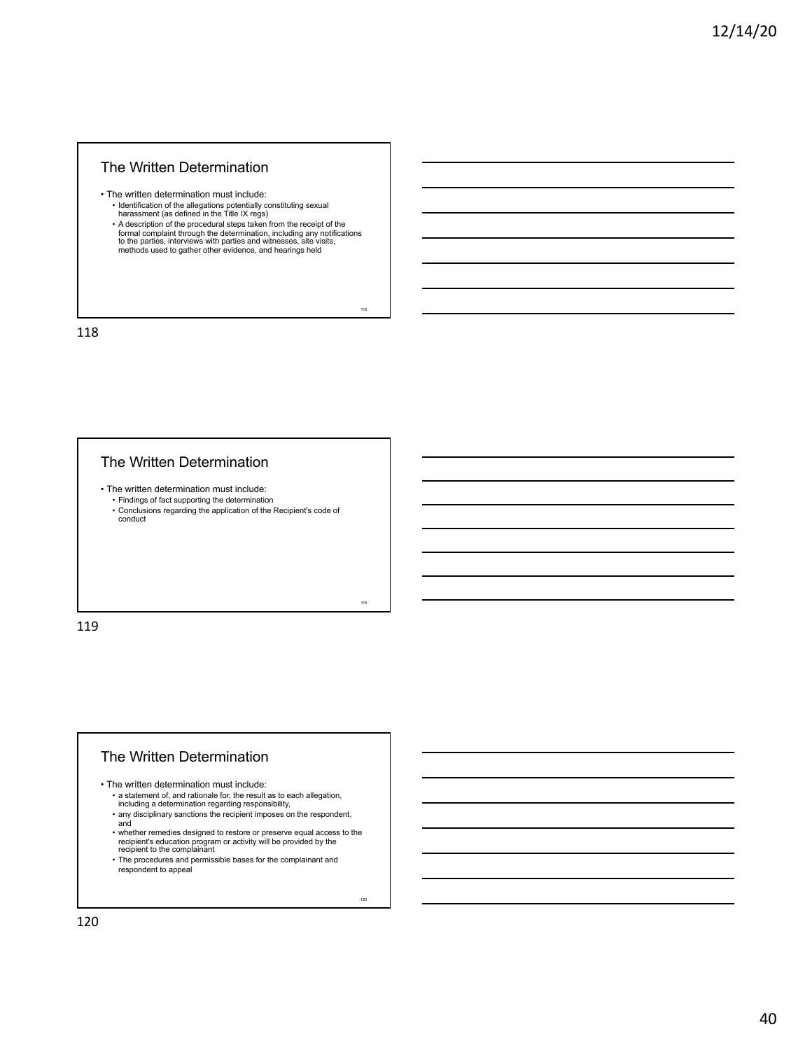#### The Written Determination

• The written determination must include: • Identification of the allegations potentially constituting sexual harassment (as defined in the Title IX regs)

• A description of the procedural steps taken from the receipt of the formal complaint through the determination, including any notifications to the parties, interviews with parties and witnesses, site visits, methods used to gather other evidence, and hearings held

118

119

120

118

## The Written Determination

• The written determination must include:

• Findings of fact supporting the determination • Conclusions regarding the application of the Recipient's code of conduct

119

## The Written Determination

• The written determination must include:

- a statement of, and rationale for, the result as to each allegation, including a determination regarding responsibility,
- any disciplinary sanctions the recipient imposes on the respondent, and
- whether remedies designed to restore or preserve equal access to the recipient's education program or activity will be provided by the recipient to the complainant
- The procedures and permissible bases for the complainant and respondent to appeal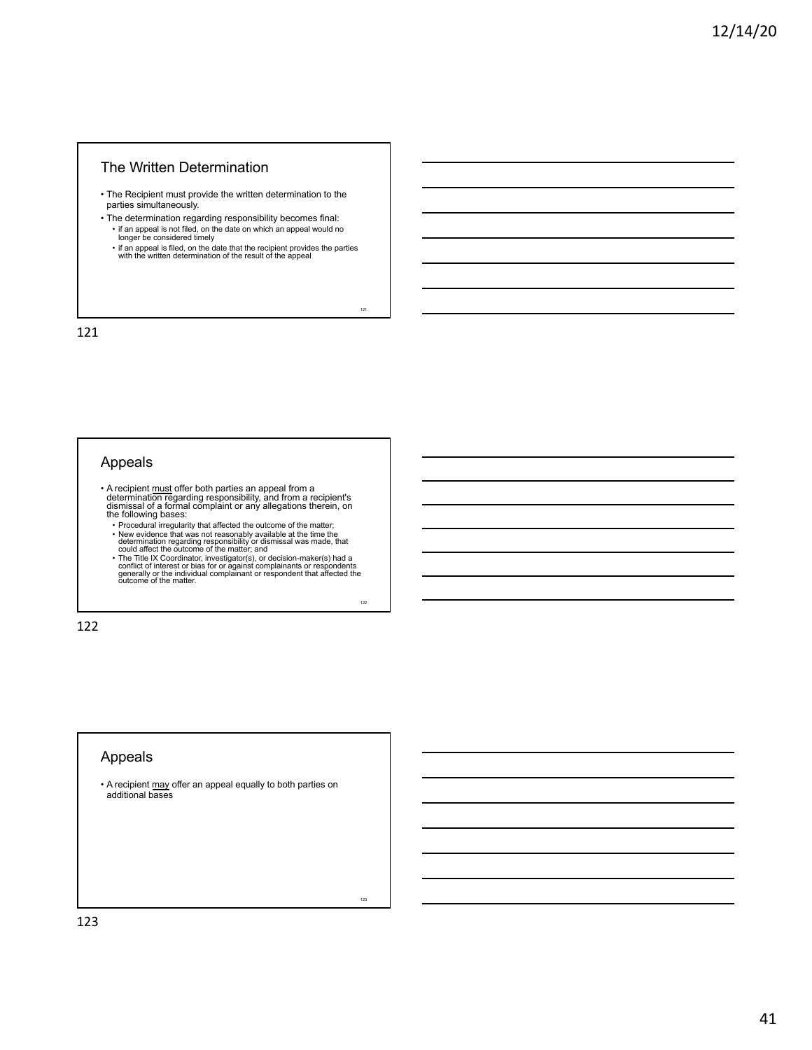#### The Written Determination

- The Recipient must provide the written determination to the parties simultaneously.
- The determination regarding responsibility becomes final: if an appeal is not filed, on the date on which an appeal would no longer be considered timely
	- if an appeal is filed, on the date that the recipient provides the parties with the written determination of the result of the appeal

121

122

123

121

## Appeals

- A recipient must offer both parties an appeal from a determination regarding responsibility, and from a recipient's dismissal of a formal complaint or any allegations therein, on the following bases:
	- Procedural irregularity that affected the outcome of the matter;
	- New evidence that was not reasonably available at the time the determination regarding responsibility or dismissal was made, that could affect the outcome of the matter; and occidence for the Title IX Coordinator, invest

122

# Appeals

• A recipient may offer an appeal equally to both parties on additional bases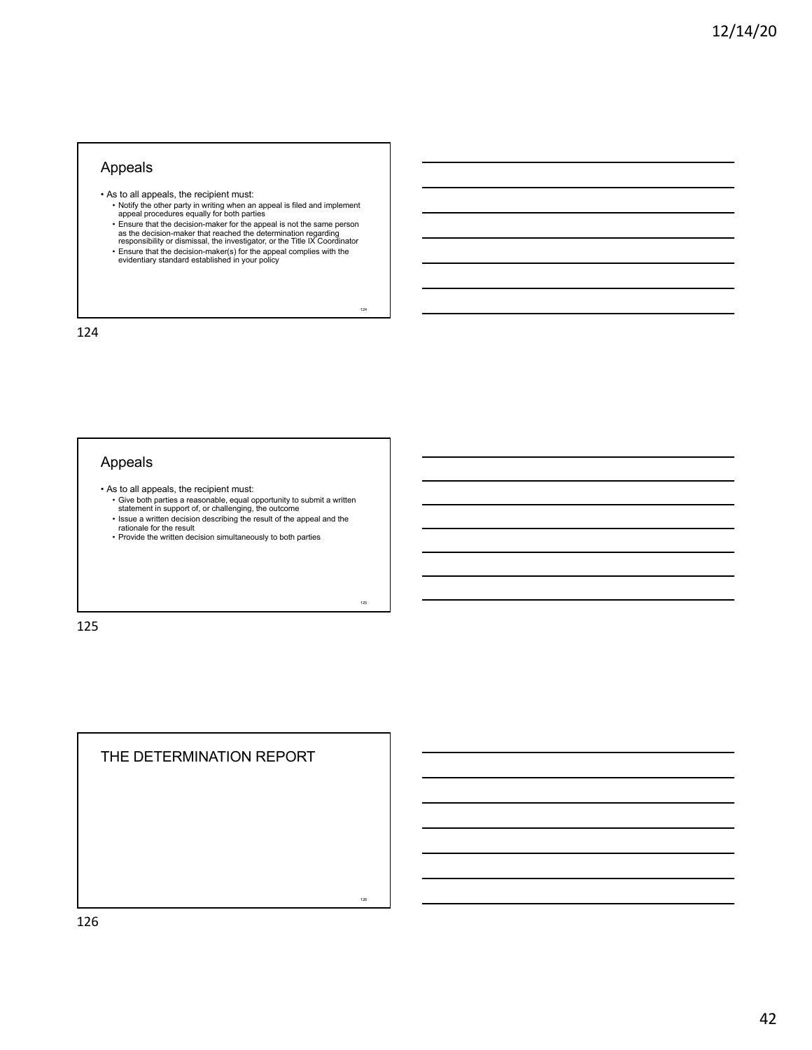## Appeals

- As to all appeals, the recipient must:
	- Notify the other party in writing when an appeal is filed and implement<br>∈appeal procedures equally for both parties<br>• Ensure that the decision-maker for the appeal is not the same person as the decision-maker that reached the determination regarding responsibility or dismissal, the investigator, or the Title IX Coordinator

124

125

126

• Ensure that the decision-maker(s) for the appeal complies with the evidentiary standard established in your policy

124

## Appeals

- As to all appeals, the recipient must:
	- Give both parties a reasonable, equal opportunity to submit a written statement in support of, or challenging, the outcome • Issue a written decision describing the result of the appeal and the
	- rationale for the result Provide the written decision simultaneously to both parties
	-

125

THE DETERMINATION REPORT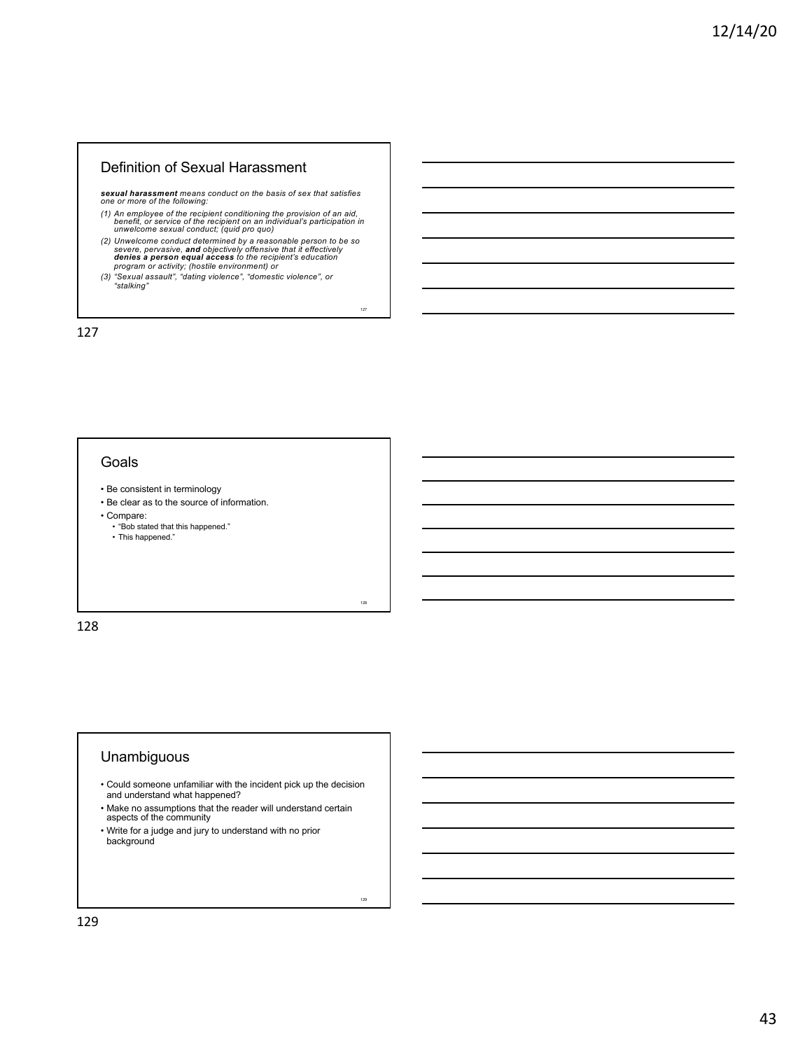#### Definition of Sexual Harassment

*sexual harassment means conduct on the basis of sex that satisfies one or more of the following:* 

- *(1) An employee of the recipient conditioning the provision of an aid, benefit, or service of the recipient on an individual's participation in unwelcome sexual conduct; (quid pro quo)*
- (2) Unwelcome conduct determined by a reasonable person to be so severe, pervasive, and objectively offensive that it effectively denies a person equal access to the recipient's education program or activity; (hostile env

127

128

129

*"stalking"*

127

### **Goals**

- Be consistent in terminology
- Be clear as to the source of information.
- 
- Compare: "Bob stated that this happened."
	- This happened."

128

## Unambiguous

- Could someone unfamiliar with the incident pick up the decision and understand what happened?
- Make no assumptions that the reader will understand certain aspects of the community
- Write for a judge and jury to understand with no prior background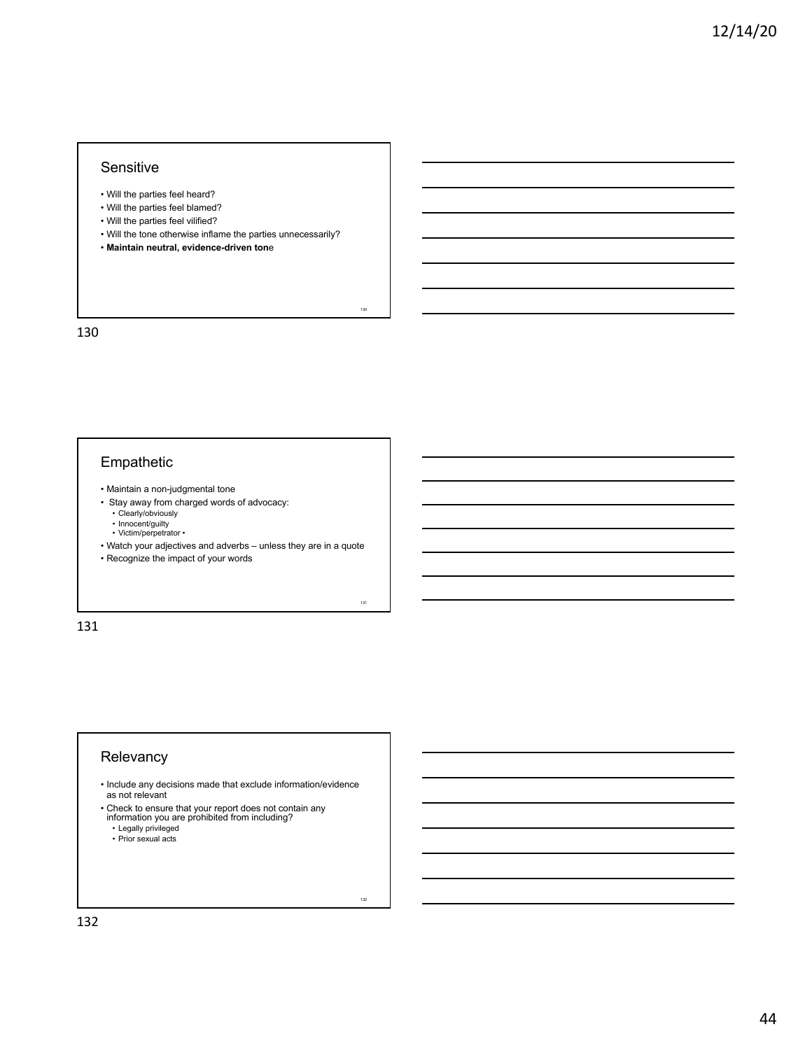#### Sensitive

- Will the parties feel heard?
- Will the parties feel blamed?
- Will the parties feel vilified?
- Will the tone otherwise inflame the parties unnecessarily?

130

131

132

• **Maintain neutral, evidence-driven ton**e

130

# Empathetic

- Maintain a non-judgmental tone
- Stay away from charged words of advocacy: • Clearly/obviously
	- Innocent/guilty<br>• Victim/perpetrator •
- Watch your adjectives and adverbs unless they are in a quote
- 

• Recognize the impact of your words

131

## Relevancy

• Include any decisions made that exclude information/evidence as not relevant

• Check to ensure that your report does not contain any information you are prohibited from including?

- 
- Legally privileged • Prior sexual acts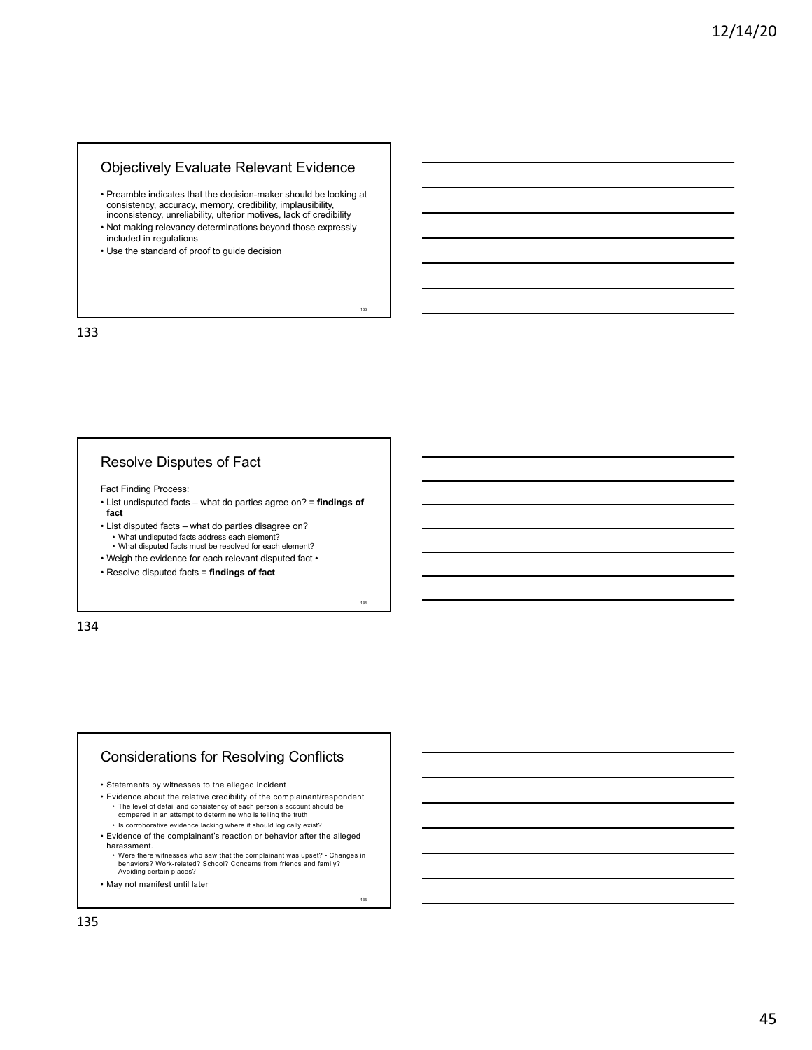## Objectively Evaluate Relevant Evidence

• Preamble indicates that the decision-maker should be looking at consistency, accuracy, memory, credibility, implausibility, inconsistency, unreliability, ulterior motives, lack of credibility

133

134

135

- Not making relevancy determinations beyond those expressly included in regulations
- Use the standard of proof to guide decision

133

## Resolve Disputes of Fact

Fact Finding Process:

- List undisputed facts what do parties agree on? = **findings of fact**
- List disputed facts what do parties disagree on? • What undisputed facts address each element? • What disputed facts must be resolved for each element?
- Weigh the evidence for each relevant disputed fact •
- Resolve disputed facts = **findings of fact**

134

# Considerations for Resolving Conflicts

• Statements by witnesses to the alleged incident

• Evidence about the relative credibility of the complainant/respondent

- The level of detail and consistency of each person's account should be compared in an attempt to determine who is telling the truth
- Is corroborative evidence lacking where it should logically exist?
- Evidence of the complainant's reaction or behavior after the alleged harassment.
	- Were there witnesses who saw that the complainant was upset? Changes in behaviors? Work-related? School? Concerns from friends and family? Avoiding certain places?
- May not manifest until later

135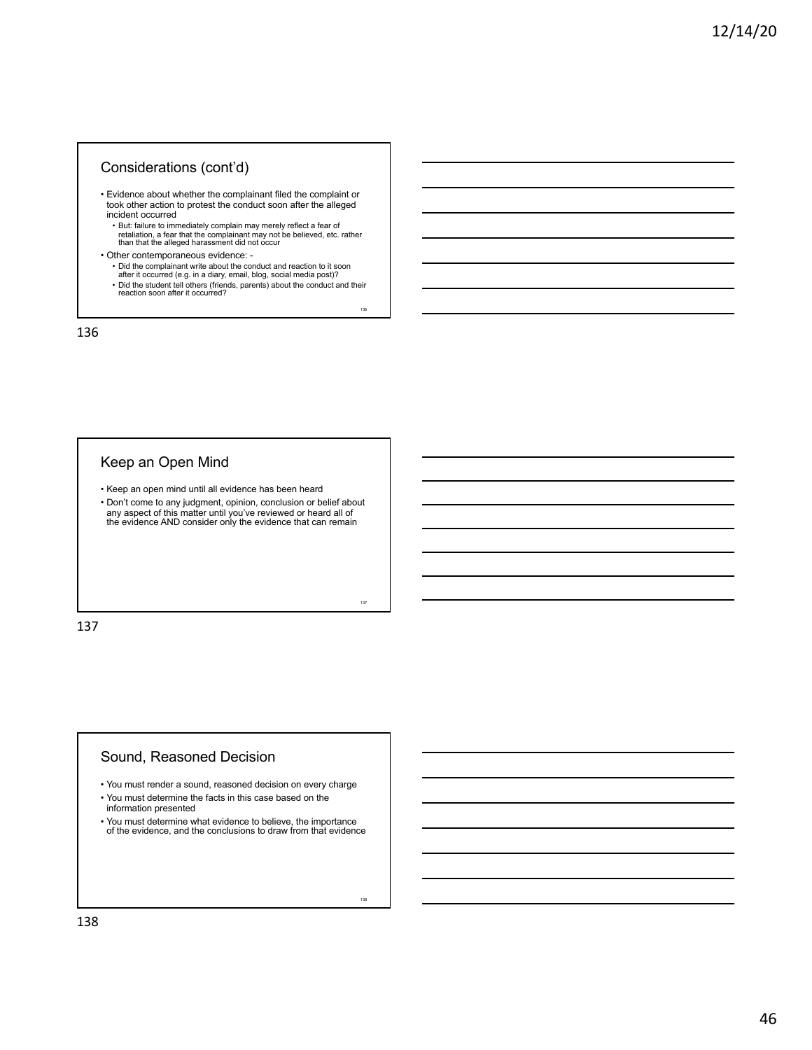# Considerations (cont'd)

- Evidence about whether the complainant filed the complaint or took other action to protest the conduct soon after the alleged incident occurred
	- But: failure to immediately complain may merely reflect a fear of retaliation, a fear that the complainant may not be believed, etc. rather than that the alleged harassment did not occur
- Other contemporaneous evidence:
	- Did the complainant write about the conduct and reaction to it soon
	- after it occurred (e.g. in a diary, email, blog, social media post)? Did the student tell others (friends, parents) about the conduct and their reaction soon after it occurred?

136

137

138

136

# Keep an Open Mind

- Keep an open mind until all evidence has been heard
- Don't come to any judgment, opinion, conclusion or belief about any aspect of this matter until you've reviewed or heard all of the evidence AND consider only the evidence that can remain

137

#### Sound, Reasoned Decision

- You must render a sound, reasoned decision on every charge
- You must determine the facts in this case based on the information presented
- You must determine what evidence to believe, the importance of the evidence, and the conclusions to draw from that evidence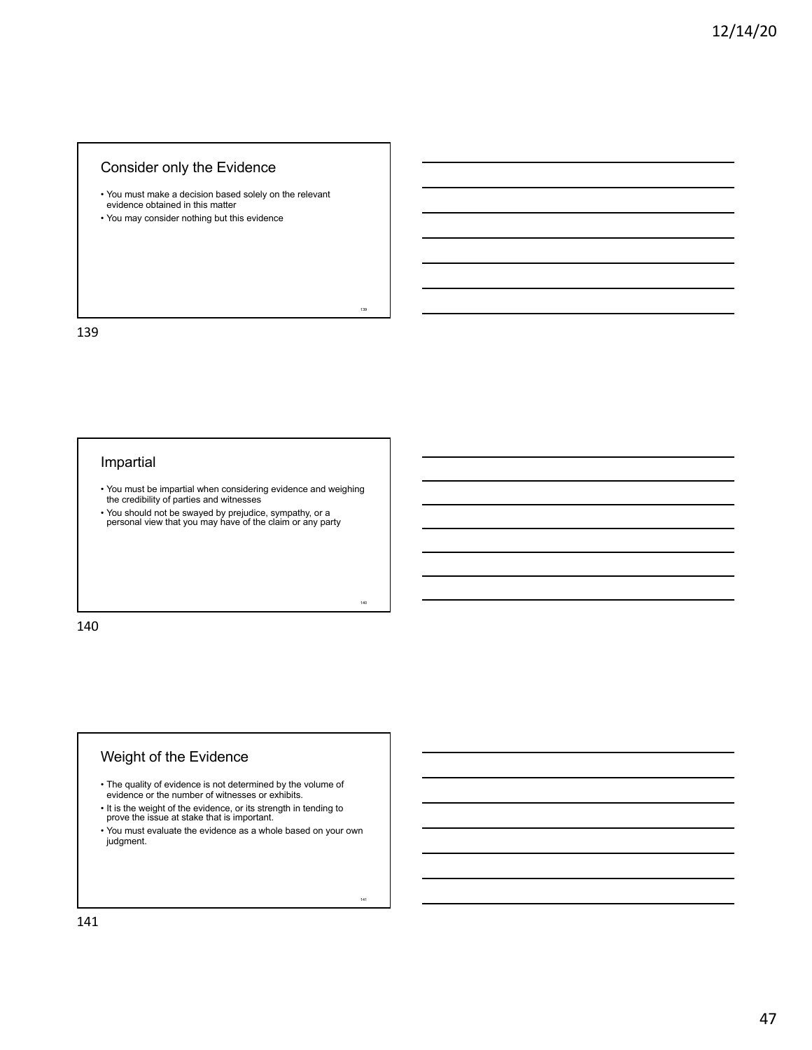## Consider only the Evidence

- You must make a decision based solely on the relevant evidence obtained in this matter
- You may consider nothing but this evidence

139

# Impartial

• You must be impartial when considering evidence and weighing the credibility of parties and witnesses

139

140

141

• You should not be swayed by prejudice, sympathy, or a personal view that you may have of the claim or any party

140

# Weight of the Evidence

- The quality of evidence is not determined by the volume of evidence or the number of witnesses or exhibits.
- 
- It is the weight of the evidence, or its strength in tending to prove the issue at stake that is important.
- You must evaluate the evidence as a whole based on your own judgment.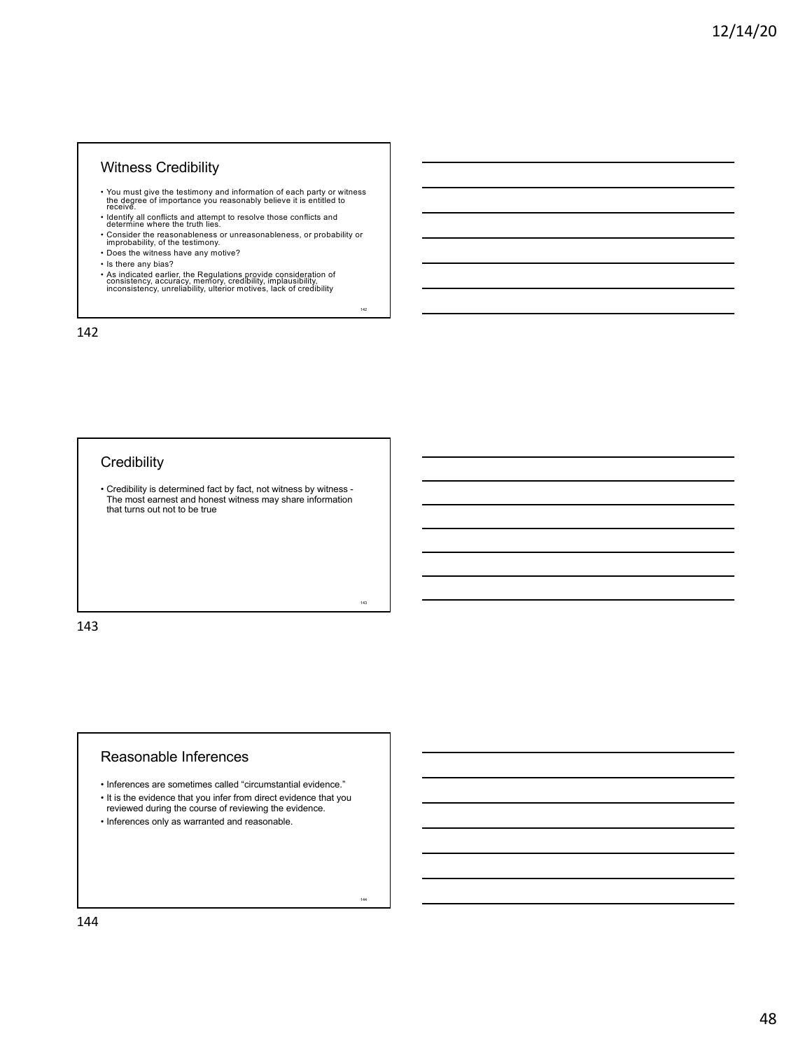## Witness Credibility

- You must give the testimony and information of each party or witness the degree of importance you reasonably believe it is entitled to receive.
- Identify all conflicts and attempt to resolve those conflicts and determine where the truth lies.
- Consider the reasonableness or unreasonableness, or probability or improbability, of the testimony. Does the witness have any motive?

142

143

144

- 
- Is there any bias?
- As indicated earlier, the Regulations provide consideration of consistency, accuracy, memory, credibility, implausibility, inconsistency, unreliability, ulterior motives, lack of credibility

142

# **Credibility**

• Credibility is determined fact by fact, not witness by witness - The most earnest and honest witness may share information that turns out not to be true

143

#### Reasonable Inferences

- Inferences are sometimes called "circumstantial evidence."
- It is the evidence that you infer from direct evidence that you reviewed during the course of reviewing the evidence.
- Inferences only as warranted and reasonable.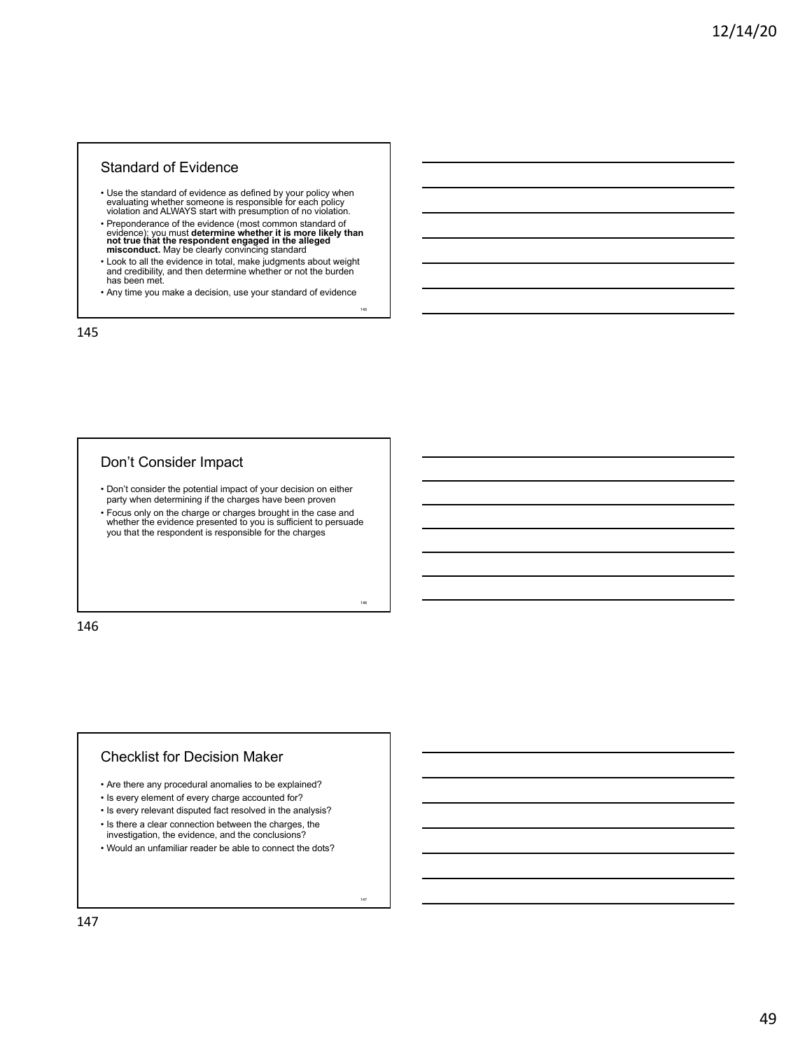## Standard of Evidence

- Use the standard of evidence as defined by your policy when evaluating whether someone is responsible for each policy violation and ALWAYS start with presumption of no violation.
- Preponderance of the evidence (most common standard of evidence): you must **determine whether it is more likely than**<br>**not true that the respondent engaged in the alleged**<br>**misconduct.** May be clearly convincing standard
- Look to all the evidence in total, make judgments about weight and credibility, and then determine whether or not the burden has been met.
- Any time you make a decision, use your standard of evidence

145

146

147

145

#### Don't Consider Impact

- Don't consider the potential impact of your decision on either party when determining if the charges have been proven
- Focus only on the charge or charges brought in the case and whether the evidence presented to you is sufficient to persuade you that the respondent is responsible for the charges

146

#### Checklist for Decision Maker

- Are there any procedural anomalies to be explained?
- Is every element of every charge accounted for?
- Is every relevant disputed fact resolved in the analysis?
- Is there a clear connection between the charges, the
- investigation, the evidence, and the conclusions?
- Would an unfamiliar reader be able to connect the dots?